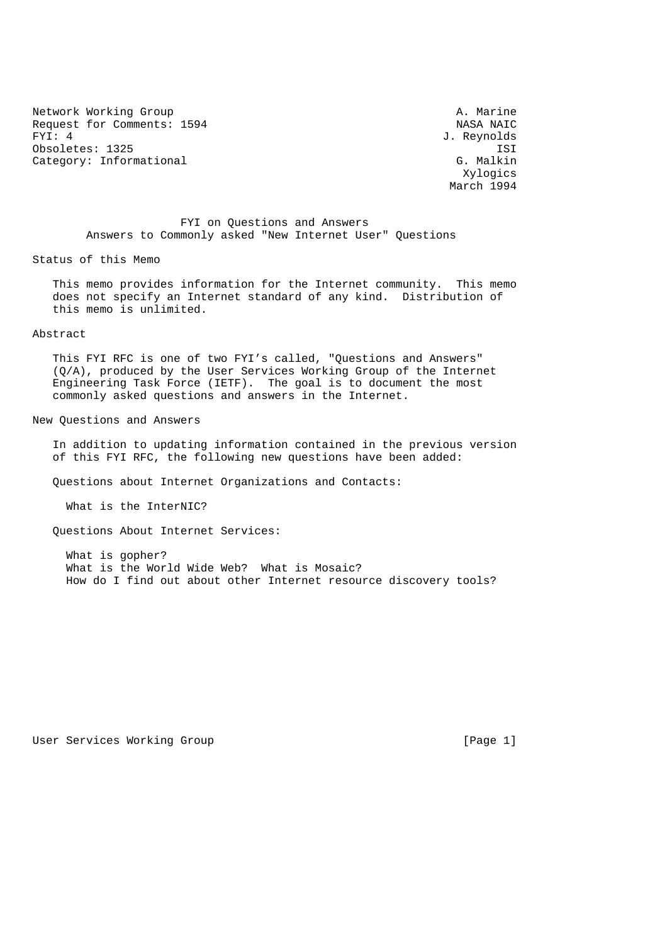Network Working Group<br>Request for Comments: 1594 and the Massachuset of MASA NAIC Request for Comments:  $1594$  FYI: 4 Obsoletes: 1325 ISI<br>Category: Informational Gategory: Informational Services of the Services of the Services of the Services of th Category: Informational

J. Reynolds Xylogics March 1994

 FYI on Questions and Answers Answers to Commonly asked "New Internet User" Questions

Status of this Memo

 This memo provides information for the Internet community. This memo does not specify an Internet standard of any kind. Distribution of this memo is unlimited.

### Abstract

 This FYI RFC is one of two FYI's called, "Questions and Answers" (Q/A), produced by the User Services Working Group of the Internet Engineering Task Force (IETF). The goal is to document the most commonly asked questions and answers in the Internet.

New Questions and Answers

 In addition to updating information contained in the previous version of this FYI RFC, the following new questions have been added:

Questions about Internet Organizations and Contacts:

What is the InterNIC?

Questions About Internet Services:

 What is gopher? What is the World Wide Web? What is Mosaic? How do I find out about other Internet resource discovery tools?

## User Services Working Group and the contract of the services of  $[Page 1]$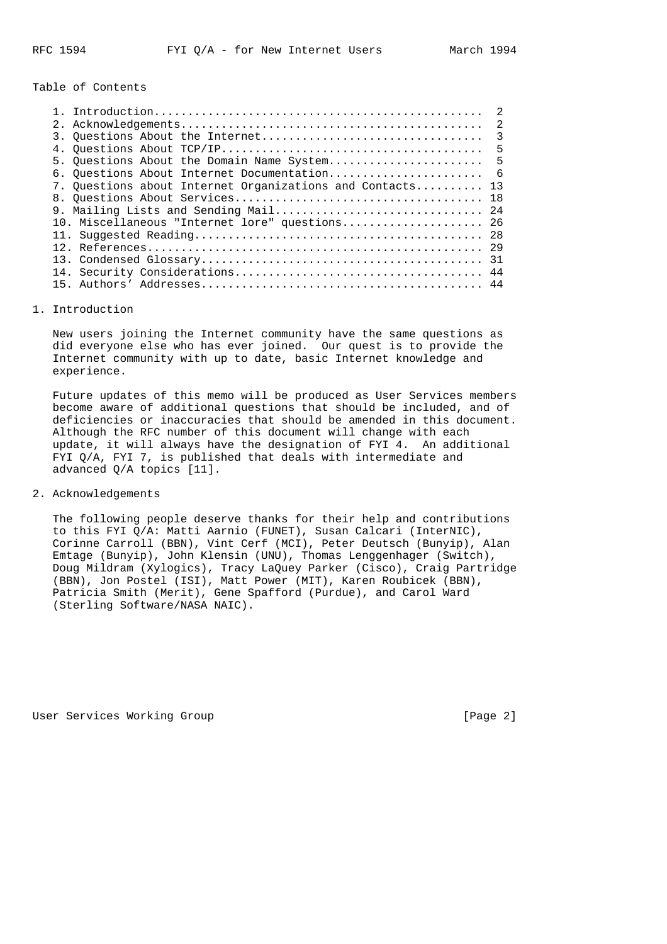Table of Contents

|                                                           | $\overline{2}$ |
|-----------------------------------------------------------|----------------|
|                                                           | $\mathcal{L}$  |
|                                                           | $\overline{3}$ |
|                                                           | 5              |
| 5. Ouestions About the Domain Name System 5               |                |
| 6. Questions About Internet Documentation 6               |                |
| 7. Ouestions about Internet Organizations and Contacts 13 |                |
|                                                           |                |
| 9. Mailing Lists and Sending Mail 24                      |                |
| 10. Miscellaneous "Internet lore" questions 26            |                |
|                                                           |                |
|                                                           |                |
|                                                           |                |
|                                                           |                |
| 15.                                                       |                |
|                                                           |                |

#### 1. Introduction

 New users joining the Internet community have the same questions as did everyone else who has ever joined. Our quest is to provide the Internet community with up to date, basic Internet knowledge and experience.

 Future updates of this memo will be produced as User Services members become aware of additional questions that should be included, and of deficiencies or inaccuracies that should be amended in this document. Although the RFC number of this document will change with each update, it will always have the designation of FYI 4. An additional FYI Q/A, FYI 7, is published that deals with intermediate and advanced Q/A topics [11].

## 2. Acknowledgements

 The following people deserve thanks for their help and contributions to this FYI Q/A: Matti Aarnio (FUNET), Susan Calcari (InterNIC), Corinne Carroll (BBN), Vint Cerf (MCI), Peter Deutsch (Bunyip), Alan Emtage (Bunyip), John Klensin (UNU), Thomas Lenggenhager (Switch), Doug Mildram (Xylogics), Tracy LaQuey Parker (Cisco), Craig Partridge (BBN), Jon Postel (ISI), Matt Power (MIT), Karen Roubicek (BBN), Patricia Smith (Merit), Gene Spafford (Purdue), and Carol Ward (Sterling Software/NASA NAIC).

User Services Working Group **[Page 2]** [Page 2]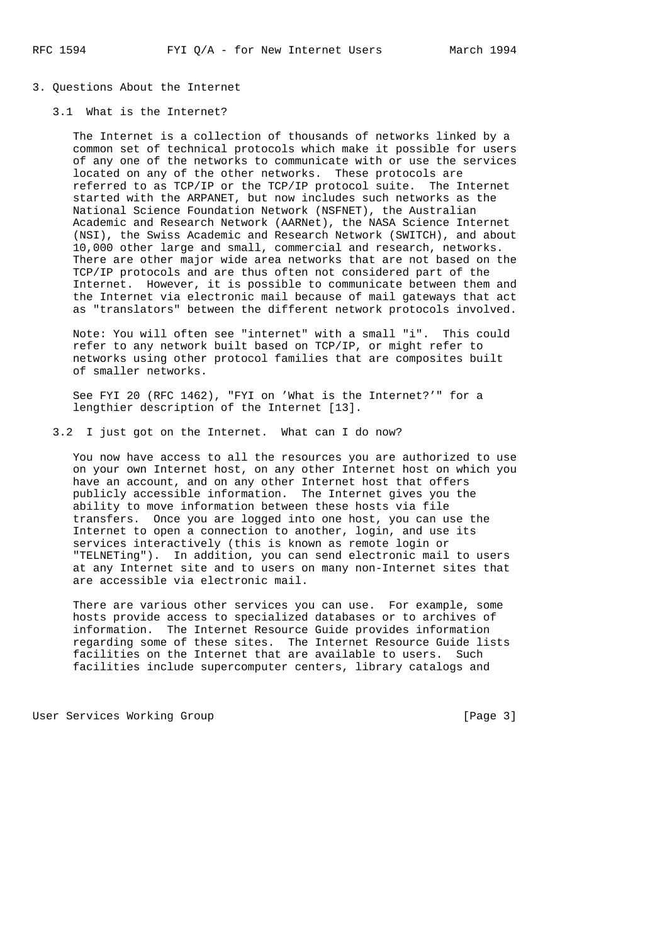- 3. Questions About the Internet
	- 3.1 What is the Internet?

 The Internet is a collection of thousands of networks linked by a common set of technical protocols which make it possible for users of any one of the networks to communicate with or use the services located on any of the other networks. These protocols are referred to as TCP/IP or the TCP/IP protocol suite. The Internet started with the ARPANET, but now includes such networks as the National Science Foundation Network (NSFNET), the Australian Academic and Research Network (AARNet), the NASA Science Internet (NSI), the Swiss Academic and Research Network (SWITCH), and about 10,000 other large and small, commercial and research, networks. There are other major wide area networks that are not based on the TCP/IP protocols and are thus often not considered part of the Internet. However, it is possible to communicate between them and the Internet via electronic mail because of mail gateways that act as "translators" between the different network protocols involved.

 Note: You will often see "internet" with a small "i". This could refer to any network built based on TCP/IP, or might refer to networks using other protocol families that are composites built of smaller networks.

 See FYI 20 (RFC 1462), "FYI on 'What is the Internet?'" for a lengthier description of the Internet [13].

3.2 I just got on the Internet. What can I do now?

 You now have access to all the resources you are authorized to use on your own Internet host, on any other Internet host on which you have an account, and on any other Internet host that offers publicly accessible information. The Internet gives you the ability to move information between these hosts via file transfers. Once you are logged into one host, you can use the Internet to open a connection to another, login, and use its services interactively (this is known as remote login or "TELNETing"). In addition, you can send electronic mail to users at any Internet site and to users on many non-Internet sites that are accessible via electronic mail.

 There are various other services you can use. For example, some hosts provide access to specialized databases or to archives of information. The Internet Resource Guide provides information regarding some of these sites. The Internet Resource Guide lists facilities on the Internet that are available to users. Such facilities include supercomputer centers, library catalogs and

User Services Working Group **[Page 3]**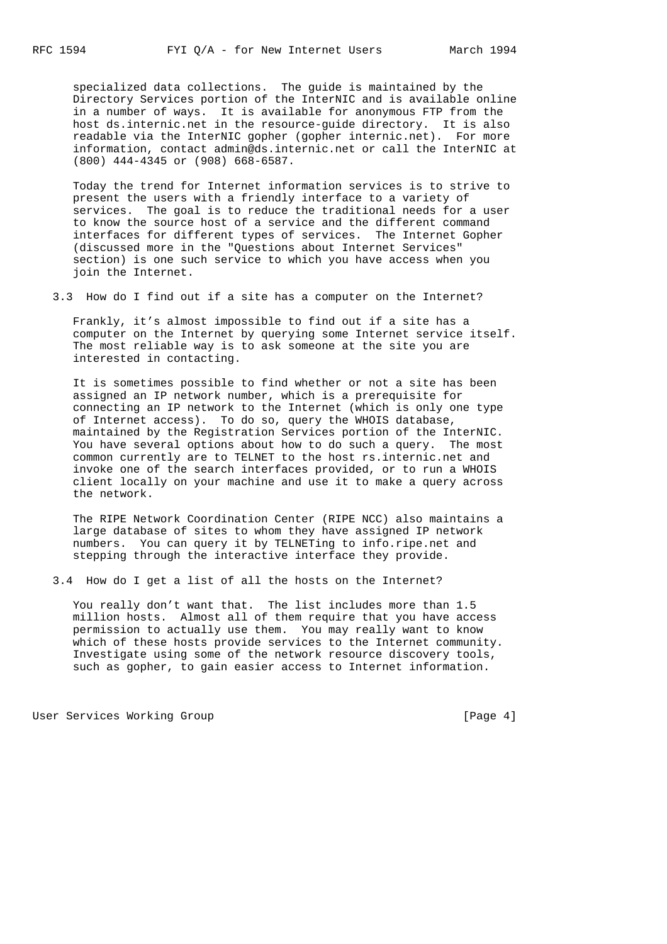specialized data collections. The guide is maintained by the Directory Services portion of the InterNIC and is available online in a number of ways. It is available for anonymous FTP from the host ds.internic.net in the resource-guide directory. It is also readable via the InterNIC gopher (gopher internic.net). For more information, contact admin@ds.internic.net or call the InterNIC at (800) 444-4345 or (908) 668-6587.

 Today the trend for Internet information services is to strive to present the users with a friendly interface to a variety of services. The goal is to reduce the traditional needs for a user to know the source host of a service and the different command interfaces for different types of services. The Internet Gopher (discussed more in the "Questions about Internet Services" section) is one such service to which you have access when you join the Internet.

3.3 How do I find out if a site has a computer on the Internet?

 Frankly, it's almost impossible to find out if a site has a computer on the Internet by querying some Internet service itself. The most reliable way is to ask someone at the site you are interested in contacting.

 It is sometimes possible to find whether or not a site has been assigned an IP network number, which is a prerequisite for connecting an IP network to the Internet (which is only one type of Internet access). To do so, query the WHOIS database, maintained by the Registration Services portion of the InterNIC. You have several options about how to do such a query. The most common currently are to TELNET to the host rs.internic.net and invoke one of the search interfaces provided, or to run a WHOIS client locally on your machine and use it to make a query across the network.

 The RIPE Network Coordination Center (RIPE NCC) also maintains a large database of sites to whom they have assigned IP network numbers. You can query it by TELNETing to info.ripe.net and stepping through the interactive interface they provide.

3.4 How do I get a list of all the hosts on the Internet?

 You really don't want that. The list includes more than 1.5 million hosts. Almost all of them require that you have access permission to actually use them. You may really want to know which of these hosts provide services to the Internet community. Investigate using some of the network resource discovery tools, such as gopher, to gain easier access to Internet information.

User Services Working Group and the control of the control of the control of the control of the control of the  $[Paqe 4]$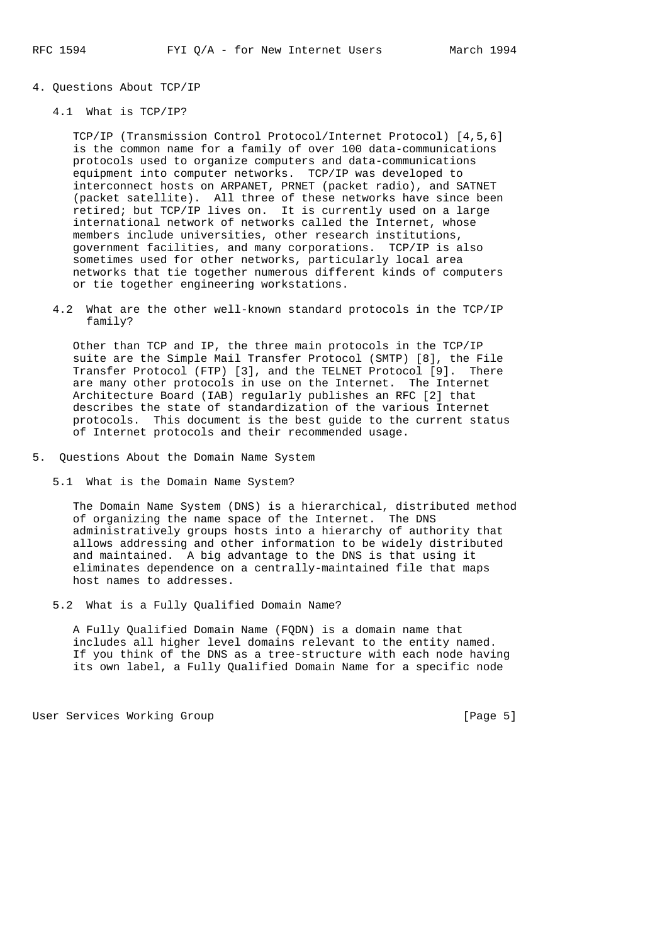- 4. Questions About TCP/IP
	- 4.1 What is TCP/IP?

 TCP/IP (Transmission Control Protocol/Internet Protocol) [4,5,6] is the common name for a family of over 100 data-communications protocols used to organize computers and data-communications equipment into computer networks. TCP/IP was developed to interconnect hosts on ARPANET, PRNET (packet radio), and SATNET (packet satellite). All three of these networks have since been retired; but TCP/IP lives on. It is currently used on a large international network of networks called the Internet, whose members include universities, other research institutions, government facilities, and many corporations. TCP/IP is also sometimes used for other networks, particularly local area networks that tie together numerous different kinds of computers or tie together engineering workstations.

 4.2 What are the other well-known standard protocols in the TCP/IP family?

 Other than TCP and IP, the three main protocols in the TCP/IP suite are the Simple Mail Transfer Protocol (SMTP) [8], the File Transfer Protocol (FTP) [3], and the TELNET Protocol [9]. There are many other protocols in use on the Internet. The Internet Architecture Board (IAB) regularly publishes an RFC [2] that describes the state of standardization of the various Internet protocols. This document is the best guide to the current status of Internet protocols and their recommended usage.

- 5. Questions About the Domain Name System
	- 5.1 What is the Domain Name System?

 The Domain Name System (DNS) is a hierarchical, distributed method of organizing the name space of the Internet. The DNS administratively groups hosts into a hierarchy of authority that allows addressing and other information to be widely distributed and maintained. A big advantage to the DNS is that using it eliminates dependence on a centrally-maintained file that maps host names to addresses.

5.2 What is a Fully Qualified Domain Name?

 A Fully Qualified Domain Name (FQDN) is a domain name that includes all higher level domains relevant to the entity named. If you think of the DNS as a tree-structure with each node having its own label, a Fully Qualified Domain Name for a specific node

User Services Working Group [Page 5]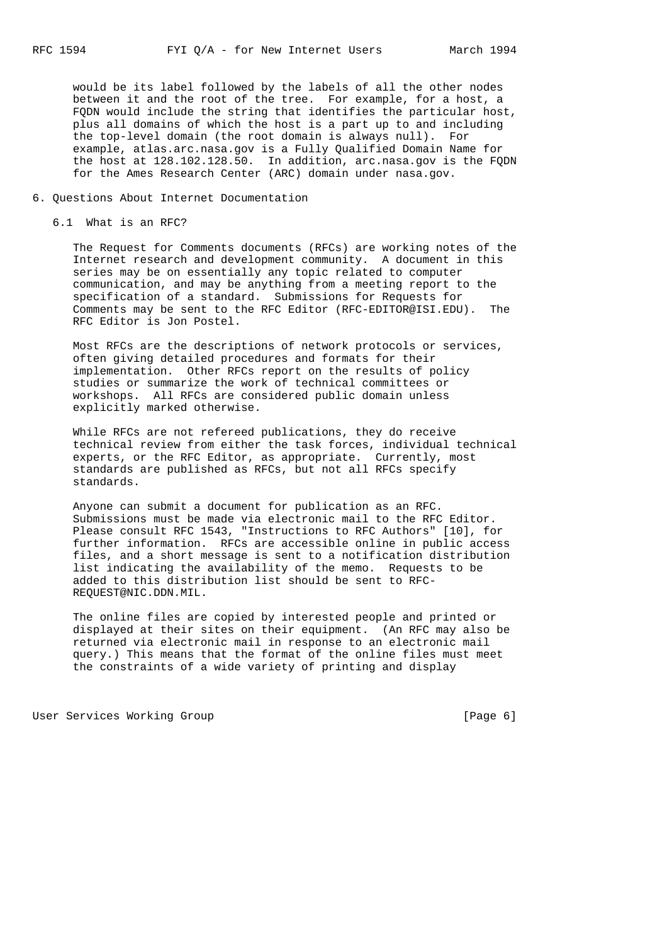would be its label followed by the labels of all the other nodes between it and the root of the tree. For example, for a host, a FQDN would include the string that identifies the particular host, plus all domains of which the host is a part up to and including the top-level domain (the root domain is always null). For example, atlas.arc.nasa.gov is a Fully Qualified Domain Name for the host at 128.102.128.50. In addition, arc.nasa.gov is the FQDN for the Ames Research Center (ARC) domain under nasa.gov.

- 6. Questions About Internet Documentation
	- 6.1 What is an RFC?

 The Request for Comments documents (RFCs) are working notes of the Internet research and development community. A document in this series may be on essentially any topic related to computer communication, and may be anything from a meeting report to the specification of a standard. Submissions for Requests for Comments may be sent to the RFC Editor (RFC-EDITOR@ISI.EDU). The RFC Editor is Jon Postel.

 Most RFCs are the descriptions of network protocols or services, often giving detailed procedures and formats for their implementation. Other RFCs report on the results of policy studies or summarize the work of technical committees or workshops. All RFCs are considered public domain unless explicitly marked otherwise.

 While RFCs are not refereed publications, they do receive technical review from either the task forces, individual technical experts, or the RFC Editor, as appropriate. Currently, most standards are published as RFCs, but not all RFCs specify standards.

 Anyone can submit a document for publication as an RFC. Submissions must be made via electronic mail to the RFC Editor. Please consult RFC 1543, "Instructions to RFC Authors" [10], for further information. RFCs are accessible online in public access files, and a short message is sent to a notification distribution list indicating the availability of the memo. Requests to be added to this distribution list should be sent to RFC- REQUEST@NIC.DDN.MIL.

 The online files are copied by interested people and printed or displayed at their sites on their equipment. (An RFC may also be returned via electronic mail in response to an electronic mail query.) This means that the format of the online files must meet the constraints of a wide variety of printing and display

User Services Working Group **[Page 6]** [Page 6]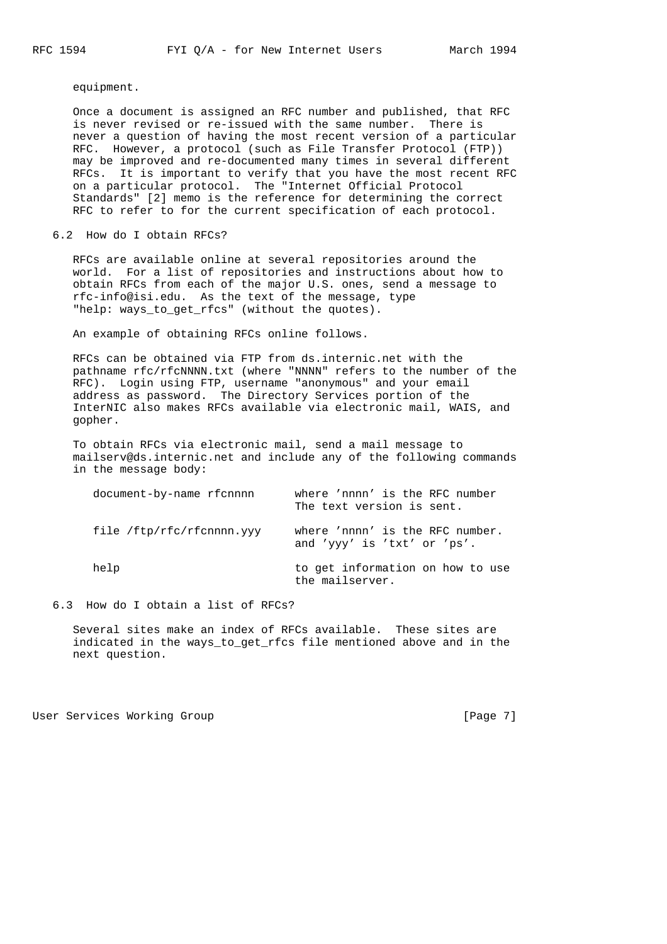equipment.

 Once a document is assigned an RFC number and published, that RFC is never revised or re-issued with the same number. There is never a question of having the most recent version of a particular RFC. However, a protocol (such as File Transfer Protocol (FTP)) may be improved and re-documented many times in several different RFCs. It is important to verify that you have the most recent RFC on a particular protocol. The "Internet Official Protocol Standards" [2] memo is the reference for determining the correct RFC to refer to for the current specification of each protocol.

6.2 How do I obtain RFCs?

 RFCs are available online at several repositories around the world. For a list of repositories and instructions about how to obtain RFCs from each of the major U.S. ones, send a message to rfc-info@isi.edu. As the text of the message, type "help: ways\_to\_get\_rfcs" (without the quotes).

An example of obtaining RFCs online follows.

 RFCs can be obtained via FTP from ds.internic.net with the pathname rfc/rfcNNNN.txt (where "NNNN" refers to the number of the RFC). Login using FTP, username "anonymous" and your email address as password. The Directory Services portion of the InterNIC also makes RFCs available via electronic mail, WAIS, and gopher.

 To obtain RFCs via electronic mail, send a mail message to mailserv@ds.internic.net and include any of the following commands in the message body:

| document-by-name rfcnnnn  | where 'nnnn' is the RFC number<br>The text version is sent.    |
|---------------------------|----------------------------------------------------------------|
| file /ftp/rfc/rfcnnnn.yyy | where 'nnnn' is the RFC number.<br>and 'yyy' is 'txt' or 'ps'. |
| help                      | to get information on how to use<br>the mailserver.            |

6.3 How do I obtain a list of RFCs?

 Several sites make an index of RFCs available. These sites are indicated in the ways\_to\_get\_rfcs file mentioned above and in the next question.

User Services Working Group and the control of the control of the control of the control of the control of the  $[$ Page 7 $]$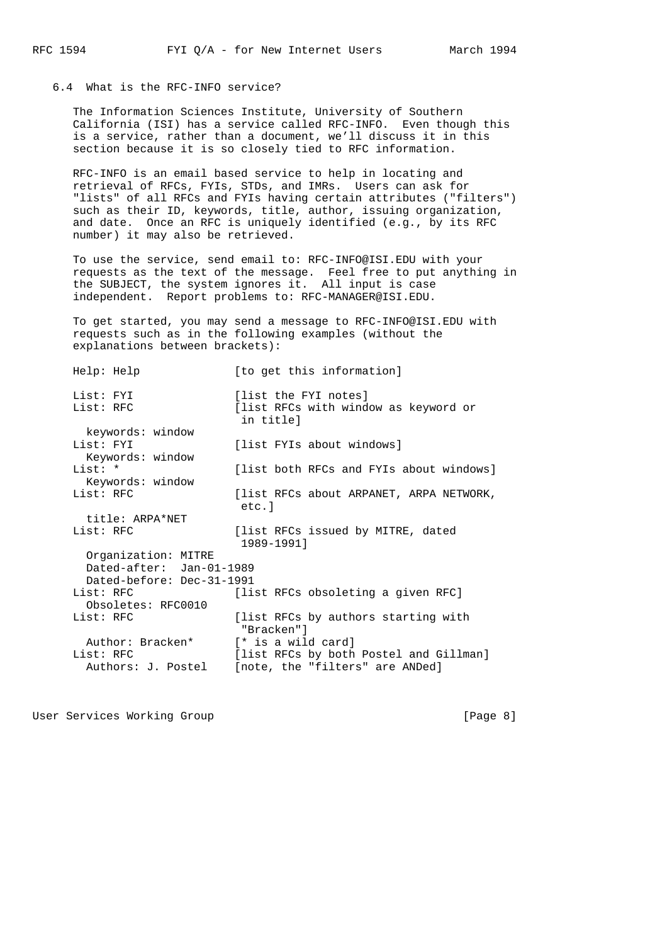# 6.4 What is the RFC-INFO service?

 The Information Sciences Institute, University of Southern California (ISI) has a service called RFC-INFO. Even though this is a service, rather than a document, we'll discuss it in this section because it is so closely tied to RFC information.

 RFC-INFO is an email based service to help in locating and retrieval of RFCs, FYIs, STDs, and IMRs. Users can ask for "lists" of all RFCs and FYIs having certain attributes ("filters") such as their ID, keywords, title, author, issuing organization, and date. Once an RFC is uniquely identified (e.g., by its RFC number) it may also be retrieved.

 To use the service, send email to: RFC-INFO@ISI.EDU with your requests as the text of the message. Feel free to put anything in the SUBJECT, the system ignores it. All input is case independent. Report problems to: RFC-MANAGER@ISI.EDU.

 To get started, you may send a message to RFC-INFO@ISI.EDU with requests such as in the following examples (without the explanations between brackets):

| Help: Help                                        | [to get this information]                                                 |
|---------------------------------------------------|---------------------------------------------------------------------------|
| List: FYI<br>List: RFC                            | [list the FYI notes]<br>[list RFCs with window as keyword or<br>in title] |
| keywords: window<br>List: FYI<br>Keywords: window | [list FYIs about windows]                                                 |
| List: *<br>Keywords: window                       | [list both RFCs and FYIs about windows]                                   |
| List: RFC                                         | [list RFCs about ARPANET, ARPA NETWORK,<br>etc.l                          |
| title: ARPA*NET                                   |                                                                           |
| List: RFC                                         | [list RFCs issued by MITRE, dated<br>1989-19911                           |
| Organization: MITRE<br>Dated-after: Jan-01-1989   |                                                                           |
| Dated-before: Dec-31-1991                         |                                                                           |
| List: RFC<br>Obsoletes: RFC0010                   | [list RFCs obsoleting a given RFC]                                        |
| List: RFC                                         | [list RFCs by authors starting with<br>"Bracken"]                         |
| Author: Bracken*                                  | [* is a wild card]                                                        |
| List: RFC                                         | [list RFCs by both Postel and Gillman]                                    |
| Authors: J. Postel                                | [note, the "filters" are ANDed]                                           |

User Services Working Group **[Page 8]**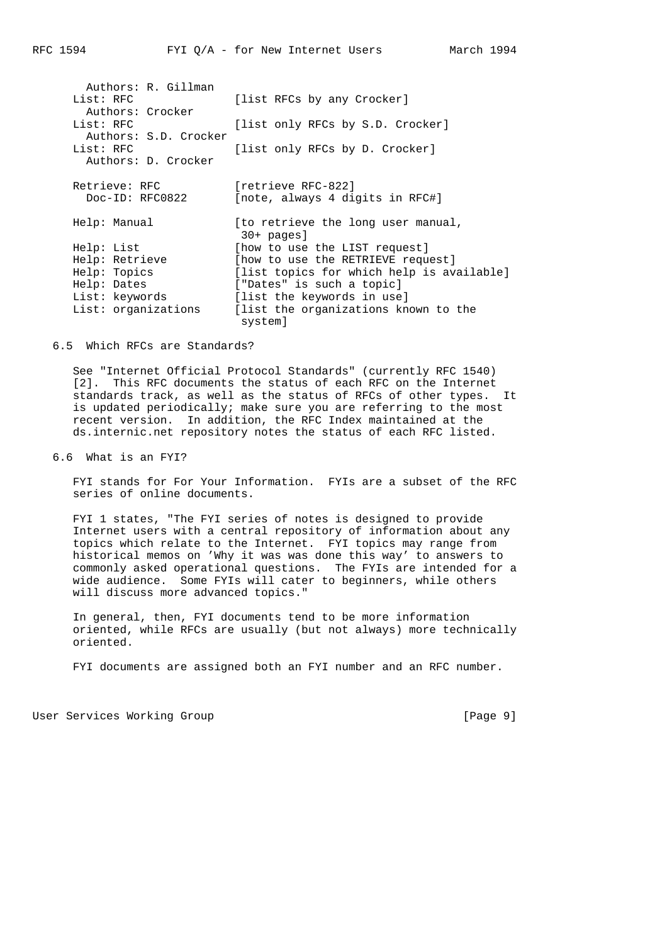| Authors: R. Gillman<br>List: RFC<br>Authors: Crocker | [list RFCs by any Crocker]                            |
|------------------------------------------------------|-------------------------------------------------------|
| List: RFC                                            | [list only RFCs by S.D. Crocker]                      |
| Authors: S.D. Crocker<br>List: RFC                   | [list only RFCs by D. Crocker]                        |
| Authors: D. Crocker                                  |                                                       |
| Retrieve: RFC<br>Doc-ID: RFC0822                     | fretrieve RFC-8221<br>[note, always 4 digits in RFC#] |
| Help: Manual                                         | [to retrieve the long user manual,<br>$30+$ pages]    |
| Help: List                                           | [how to use the LIST request]                         |
| Help: Retrieve                                       | [how to use the RETRIEVE request]                     |
| Help: Topics                                         | [list topics for which help is available]             |
| Help: Dates                                          | ["Dates" is such a topic]                             |
| List: keywords                                       | [list the keywords in use]                            |
| List: organizations                                  | [list the organizations known to the<br>system]       |

6.5 Which RFCs are Standards?

 See "Internet Official Protocol Standards" (currently RFC 1540) [2]. This RFC documents the status of each RFC on the Internet standards track, as well as the status of RFCs of other types. It is updated periodically; make sure you are referring to the most recent version. In addition, the RFC Index maintained at the ds.internic.net repository notes the status of each RFC listed.

6.6 What is an FYI?

 FYI stands for For Your Information. FYIs are a subset of the RFC series of online documents.

 FYI 1 states, "The FYI series of notes is designed to provide Internet users with a central repository of information about any topics which relate to the Internet. FYI topics may range from historical memos on 'Why it was was done this way' to answers to commonly asked operational questions. The FYIs are intended for a wide audience. Some FYIs will cater to beginners, while others will discuss more advanced topics."

 In general, then, FYI documents tend to be more information oriented, while RFCs are usually (but not always) more technically oriented.

FYI documents are assigned both an FYI number and an RFC number.

User Services Working Group **[Page 9]**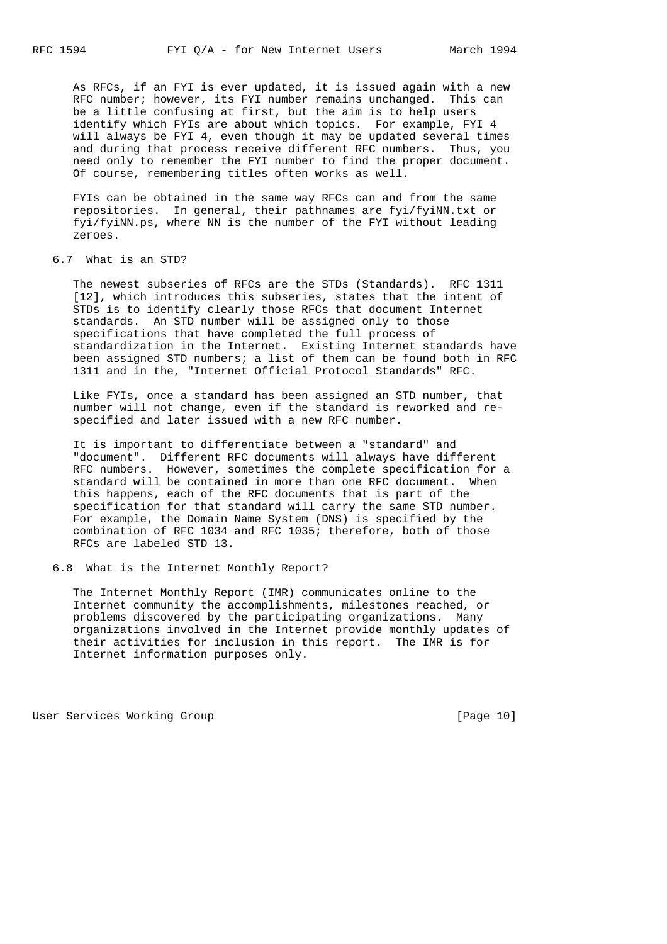As RFCs, if an FYI is ever updated, it is issued again with a new RFC number; however, its FYI number remains unchanged. This can be a little confusing at first, but the aim is to help users identify which FYIs are about which topics. For example, FYI 4 will always be FYI 4, even though it may be updated several times and during that process receive different RFC numbers. Thus, you need only to remember the FYI number to find the proper document. Of course, remembering titles often works as well.

 FYIs can be obtained in the same way RFCs can and from the same repositories. In general, their pathnames are fyi/fyiNN.txt or fyi/fyiNN.ps, where NN is the number of the FYI without leading zeroes.

6.7 What is an STD?

 The newest subseries of RFCs are the STDs (Standards). RFC 1311 [12], which introduces this subseries, states that the intent of STDs is to identify clearly those RFCs that document Internet standards. An STD number will be assigned only to those specifications that have completed the full process of standardization in the Internet. Existing Internet standards have been assigned STD numbers; a list of them can be found both in RFC 1311 and in the, "Internet Official Protocol Standards" RFC.

 Like FYIs, once a standard has been assigned an STD number, that number will not change, even if the standard is reworked and re specified and later issued with a new RFC number.

 It is important to differentiate between a "standard" and "document". Different RFC documents will always have different RFC numbers. However, sometimes the complete specification for a standard will be contained in more than one RFC document. When this happens, each of the RFC documents that is part of the specification for that standard will carry the same STD number. For example, the Domain Name System (DNS) is specified by the combination of RFC 1034 and RFC 1035; therefore, both of those RFCs are labeled STD 13.

6.8 What is the Internet Monthly Report?

 The Internet Monthly Report (IMR) communicates online to the Internet community the accomplishments, milestones reached, or problems discovered by the participating organizations. Many organizations involved in the Internet provide monthly updates of their activities for inclusion in this report. The IMR is for Internet information purposes only.

User Services Working Group **[Page 10]** [Page 10]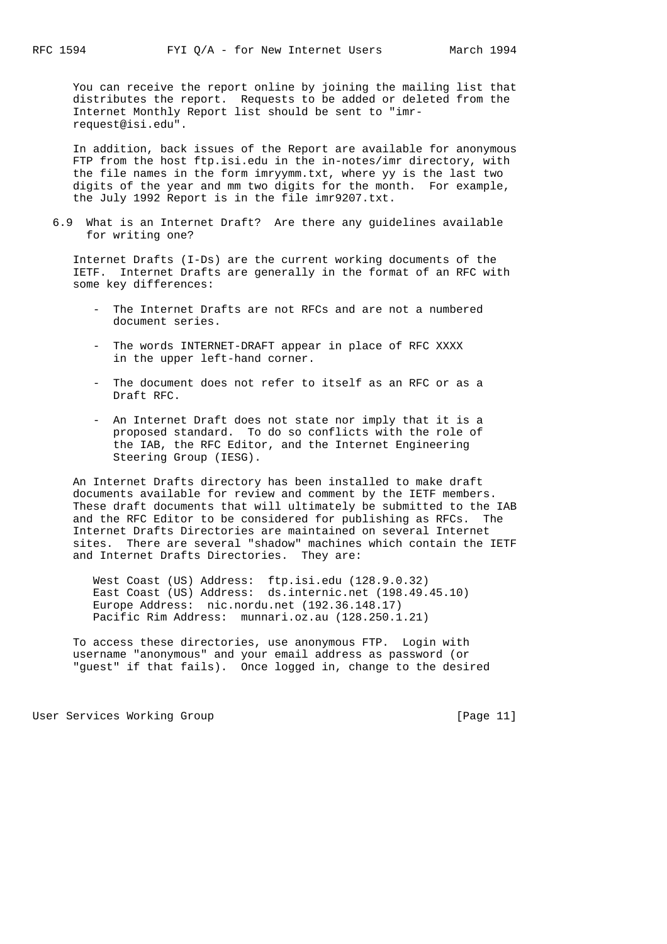You can receive the report online by joining the mailing list that distributes the report. Requests to be added or deleted from the Internet Monthly Report list should be sent to "imr request@isi.edu".

 In addition, back issues of the Report are available for anonymous FTP from the host ftp.isi.edu in the in-notes/imr directory, with the file names in the form imryymm.txt, where yy is the last two digits of the year and mm two digits for the month. For example, the July 1992 Report is in the file imr9207.txt.

 6.9 What is an Internet Draft? Are there any guidelines available for writing one?

 Internet Drafts (I-Ds) are the current working documents of the IETF. Internet Drafts are generally in the format of an RFC with some key differences:

- The Internet Drafts are not RFCs and are not a numbered document series.
- The words INTERNET-DRAFT appear in place of RFC XXXX in the upper left-hand corner.
- The document does not refer to itself as an RFC or as a Draft RFC.
- An Internet Draft does not state nor imply that it is a proposed standard. To do so conflicts with the role of the IAB, the RFC Editor, and the Internet Engineering Steering Group (IESG).

 An Internet Drafts directory has been installed to make draft documents available for review and comment by the IETF members. These draft documents that will ultimately be submitted to the IAB and the RFC Editor to be considered for publishing as RFCs. The Internet Drafts Directories are maintained on several Internet sites. There are several "shadow" machines which contain the IETF and Internet Drafts Directories. They are:

 West Coast (US) Address: ftp.isi.edu (128.9.0.32) East Coast (US) Address: ds.internic.net (198.49.45.10) Europe Address: nic.nordu.net (192.36.148.17) Pacific Rim Address: munnari.oz.au (128.250.1.21)

 To access these directories, use anonymous FTP. Login with username "anonymous" and your email address as password (or "guest" if that fails). Once logged in, change to the desired

User Services Working Group and the control of the services of the User Services Working Group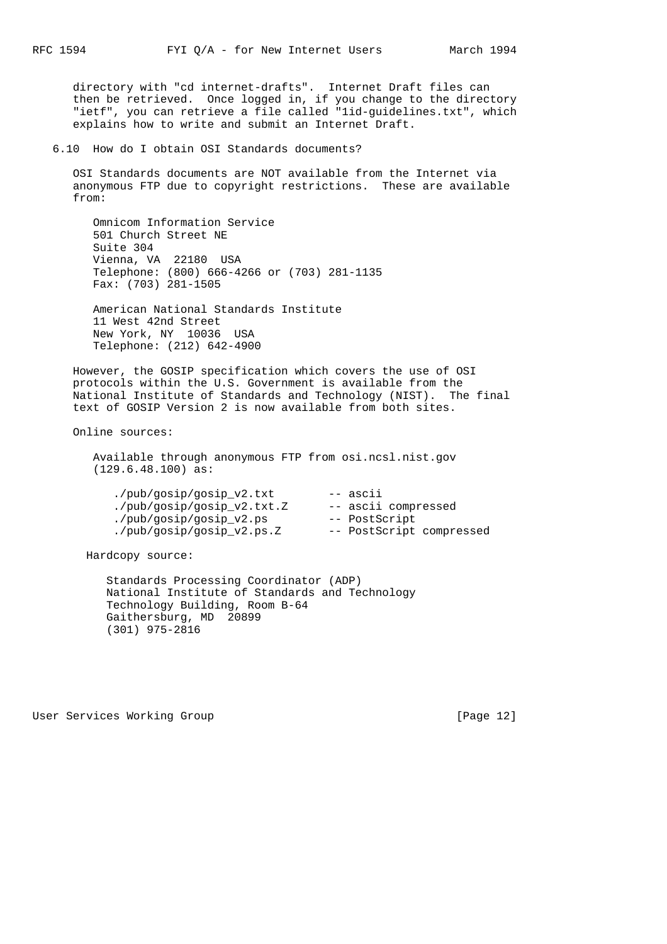directory with "cd internet-drafts". Internet Draft files can then be retrieved. Once logged in, if you change to the directory "ietf", you can retrieve a file called "1id-guidelines.txt", which explains how to write and submit an Internet Draft.

6.10 How do I obtain OSI Standards documents?

 OSI Standards documents are NOT available from the Internet via anonymous FTP due to copyright restrictions. These are available from:

 Omnicom Information Service 501 Church Street NE Suite 304 Vienna, VA 22180 USA Telephone: (800) 666-4266 or (703) 281-1135 Fax: (703) 281-1505

 American National Standards Institute 11 West 42nd Street New York, NY 10036 USA Telephone: (212) 642-4900

 However, the GOSIP specification which covers the use of OSI protocols within the U.S. Government is available from the National Institute of Standards and Technology (NIST). The final text of GOSIP Version 2 is now available from both sites.

Online sources:

 Available through anonymous FTP from osi.ncsl.nist.gov (129.6.48.100) as:

| ./pub/qosip/qosip v2.txt   | -- ascii                 |
|----------------------------|--------------------------|
| ./pub/gosip/gosip_v2.txt.Z | -- ascii compressed      |
| ./pub/qosip/qosip v2.ps    | -- PostScript            |
| ./pub/gosip/gosip_v2.ps.Z  | -- PostScript compressed |

Hardcopy source:

 Standards Processing Coordinator (ADP) National Institute of Standards and Technology Technology Building, Room B-64 Gaithersburg, MD 20899 (301) 975-2816

User Services Working Group **[Page 12]**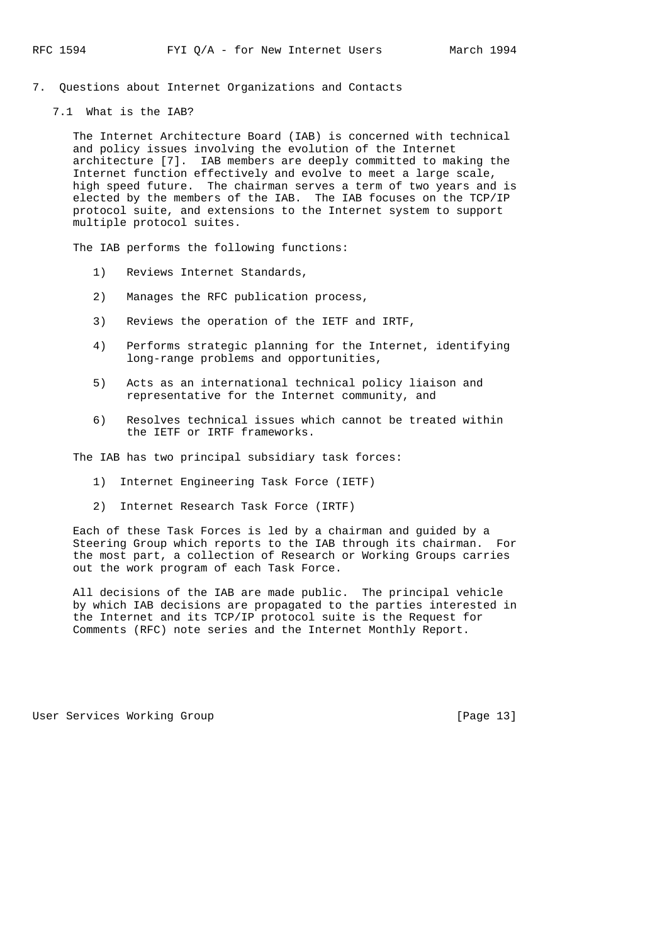7. Questions about Internet Organizations and Contacts

7.1 What is the IAB?

 The Internet Architecture Board (IAB) is concerned with technical and policy issues involving the evolution of the Internet architecture [7]. IAB members are deeply committed to making the Internet function effectively and evolve to meet a large scale, high speed future. The chairman serves a term of two years and is elected by the members of the IAB. The IAB focuses on the TCP/IP protocol suite, and extensions to the Internet system to support multiple protocol suites.

The IAB performs the following functions:

- 1) Reviews Internet Standards,
- 2) Manages the RFC publication process,
- 3) Reviews the operation of the IETF and IRTF,
- 4) Performs strategic planning for the Internet, identifying long-range problems and opportunities,
- 5) Acts as an international technical policy liaison and representative for the Internet community, and
- 6) Resolves technical issues which cannot be treated within the IETF or IRTF frameworks.

The IAB has two principal subsidiary task forces:

- 1) Internet Engineering Task Force (IETF)
- 2) Internet Research Task Force (IRTF)

 Each of these Task Forces is led by a chairman and guided by a Steering Group which reports to the IAB through its chairman. For the most part, a collection of Research or Working Groups carries out the work program of each Task Force.

 All decisions of the IAB are made public. The principal vehicle by which IAB decisions are propagated to the parties interested in the Internet and its TCP/IP protocol suite is the Request for Comments (RFC) note series and the Internet Monthly Report.

User Services Working Group **[Page 13]**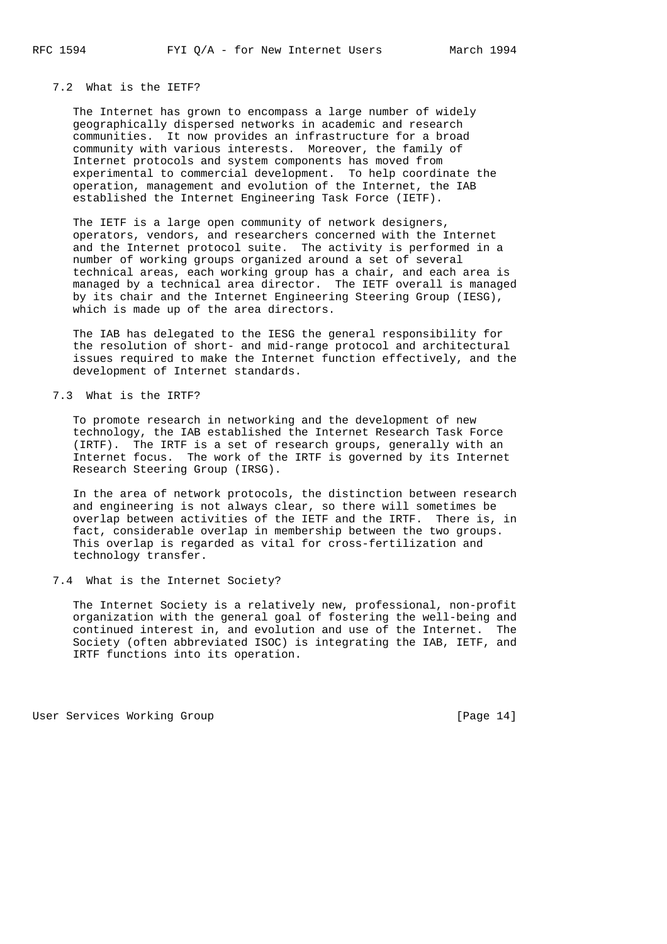# 7.2 What is the IETF?

 The Internet has grown to encompass a large number of widely geographically dispersed networks in academic and research communities. It now provides an infrastructure for a broad community with various interests. Moreover, the family of Internet protocols and system components has moved from experimental to commercial development. To help coordinate the operation, management and evolution of the Internet, the IAB established the Internet Engineering Task Force (IETF).

 The IETF is a large open community of network designers, operators, vendors, and researchers concerned with the Internet and the Internet protocol suite. The activity is performed in a number of working groups organized around a set of several technical areas, each working group has a chair, and each area is managed by a technical area director. The IETF overall is managed by its chair and the Internet Engineering Steering Group (IESG), which is made up of the area directors.

 The IAB has delegated to the IESG the general responsibility for the resolution of short- and mid-range protocol and architectural issues required to make the Internet function effectively, and the development of Internet standards.

## 7.3 What is the IRTF?

 To promote research in networking and the development of new technology, the IAB established the Internet Research Task Force (IRTF). The IRTF is a set of research groups, generally with an Internet focus. The work of the IRTF is governed by its Internet Research Steering Group (IRSG).

 In the area of network protocols, the distinction between research and engineering is not always clear, so there will sometimes be overlap between activities of the IETF and the IRTF. There is, in fact, considerable overlap in membership between the two groups. This overlap is regarded as vital for cross-fertilization and technology transfer.

## 7.4 What is the Internet Society?

 The Internet Society is a relatively new, professional, non-profit organization with the general goal of fostering the well-being and continued interest in, and evolution and use of the Internet. The Society (often abbreviated ISOC) is integrating the IAB, IETF, and IRTF functions into its operation.

User Services Working Group **[Page 14]**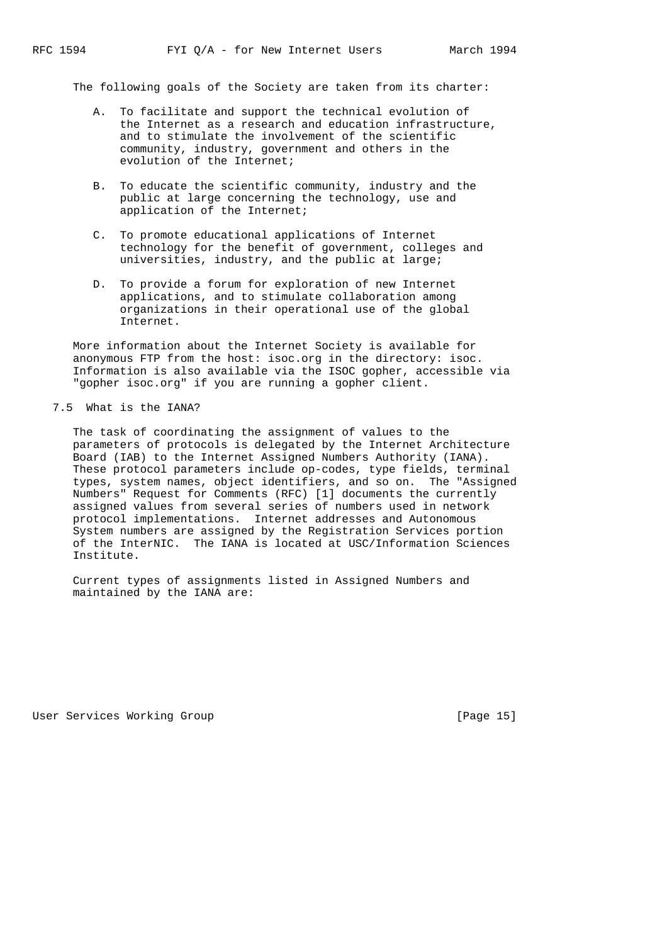The following goals of the Society are taken from its charter:

- A. To facilitate and support the technical evolution of the Internet as a research and education infrastructure, and to stimulate the involvement of the scientific community, industry, government and others in the evolution of the Internet;
- B. To educate the scientific community, industry and the public at large concerning the technology, use and application of the Internet;
- C. To promote educational applications of Internet technology for the benefit of government, colleges and universities, industry, and the public at large;
- D. To provide a forum for exploration of new Internet applications, and to stimulate collaboration among organizations in their operational use of the global Internet.

 More information about the Internet Society is available for anonymous FTP from the host: isoc.org in the directory: isoc. Information is also available via the ISOC gopher, accessible via "gopher isoc.org" if you are running a gopher client.

## 7.5 What is the IANA?

 The task of coordinating the assignment of values to the parameters of protocols is delegated by the Internet Architecture Board (IAB) to the Internet Assigned Numbers Authority (IANA). These protocol parameters include op-codes, type fields, terminal types, system names, object identifiers, and so on. The "Assigned Numbers" Request for Comments (RFC) [1] documents the currently assigned values from several series of numbers used in network protocol implementations. Internet addresses and Autonomous System numbers are assigned by the Registration Services portion of the InterNIC. The IANA is located at USC/Information Sciences Institute.

 Current types of assignments listed in Assigned Numbers and maintained by the IANA are:

User Services Working Group **[Page 15]**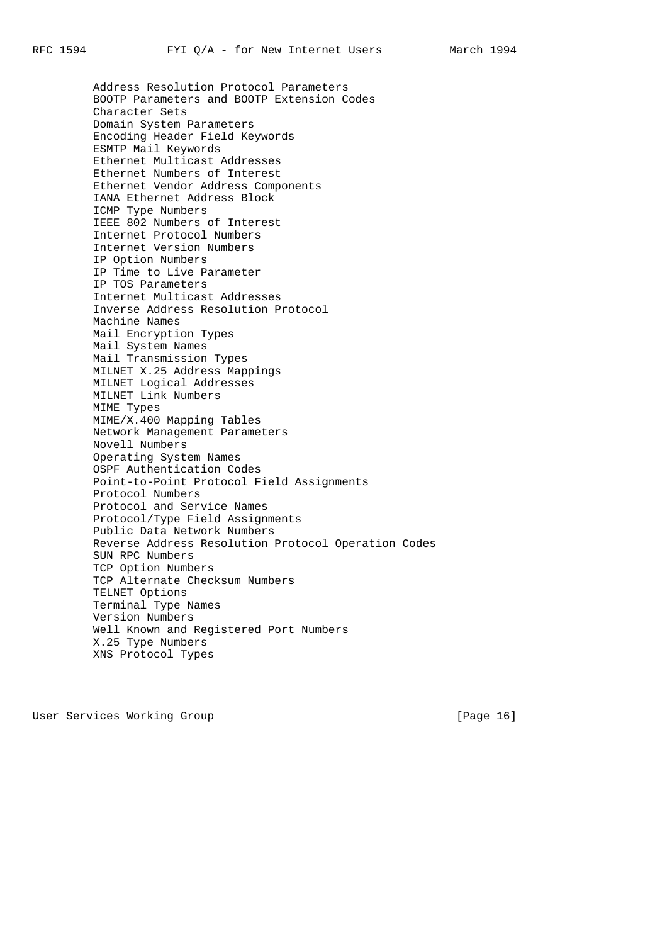Address Resolution Protocol Parameters BOOTP Parameters and BOOTP Extension Codes Character Sets Domain System Parameters Encoding Header Field Keywords ESMTP Mail Keywords Ethernet Multicast Addresses Ethernet Numbers of Interest Ethernet Vendor Address Components IANA Ethernet Address Block ICMP Type Numbers IEEE 802 Numbers of Interest Internet Protocol Numbers Internet Version Numbers IP Option Numbers IP Time to Live Parameter IP TOS Parameters Internet Multicast Addresses Inverse Address Resolution Protocol Machine Names Mail Encryption Types Mail System Names Mail Transmission Types MILNET X.25 Address Mappings MILNET Logical Addresses MILNET Link Numbers MIME Types MIME/X.400 Mapping Tables Network Management Parameters Novell Numbers Operating System Names OSPF Authentication Codes Point-to-Point Protocol Field Assignments Protocol Numbers Protocol and Service Names Protocol/Type Field Assignments Public Data Network Numbers Reverse Address Resolution Protocol Operation Codes SUN RPC Numbers TCP Option Numbers TCP Alternate Checksum Numbers TELNET Options Terminal Type Names Version Numbers Well Known and Registered Port Numbers X.25 Type Numbers XNS Protocol Types

User Services Working Group **[Page 16]**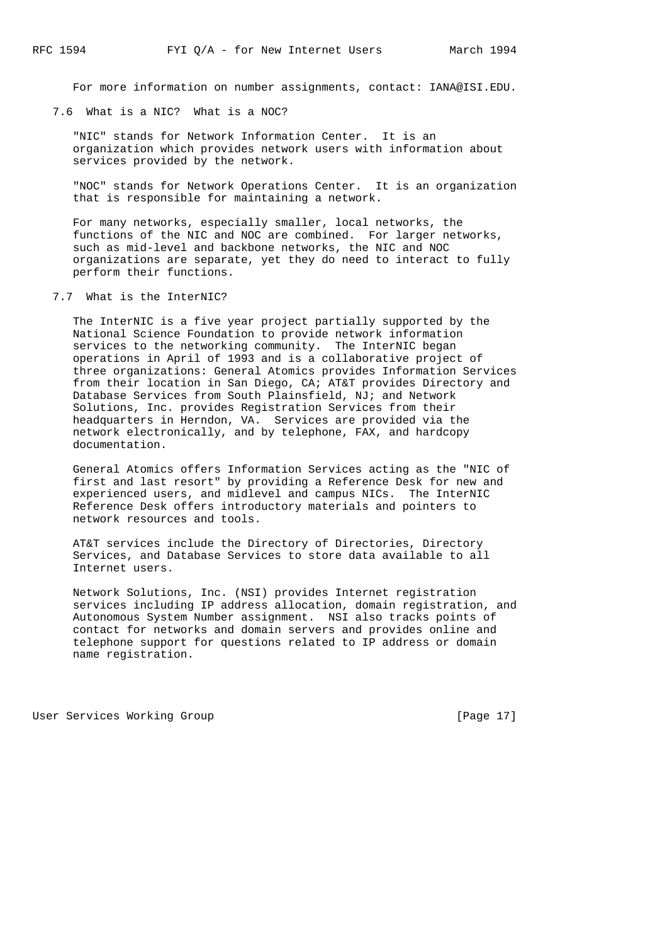For more information on number assignments, contact: IANA@ISI.EDU.

7.6 What is a NIC? What is a NOC?

 "NIC" stands for Network Information Center. It is an organization which provides network users with information about services provided by the network.

 "NOC" stands for Network Operations Center. It is an organization that is responsible for maintaining a network.

 For many networks, especially smaller, local networks, the functions of the NIC and NOC are combined. For larger networks, such as mid-level and backbone networks, the NIC and NOC organizations are separate, yet they do need to interact to fully perform their functions.

7.7 What is the InterNIC?

 The InterNIC is a five year project partially supported by the National Science Foundation to provide network information services to the networking community. The InterNIC began operations in April of 1993 and is a collaborative project of three organizations: General Atomics provides Information Services from their location in San Diego, CA; AT&T provides Directory and Database Services from South Plainsfield, NJ; and Network Solutions, Inc. provides Registration Services from their headquarters in Herndon, VA. Services are provided via the network electronically, and by telephone, FAX, and hardcopy documentation.

 General Atomics offers Information Services acting as the "NIC of first and last resort" by providing a Reference Desk for new and experienced users, and midlevel and campus NICs. The InterNIC Reference Desk offers introductory materials and pointers to network resources and tools.

 AT&T services include the Directory of Directories, Directory Services, and Database Services to store data available to all Internet users.

 Network Solutions, Inc. (NSI) provides Internet registration services including IP address allocation, domain registration, and Autonomous System Number assignment. NSI also tracks points of contact for networks and domain servers and provides online and telephone support for questions related to IP address or domain name registration.

User Services Working Group **[Page 17]** [Page 17]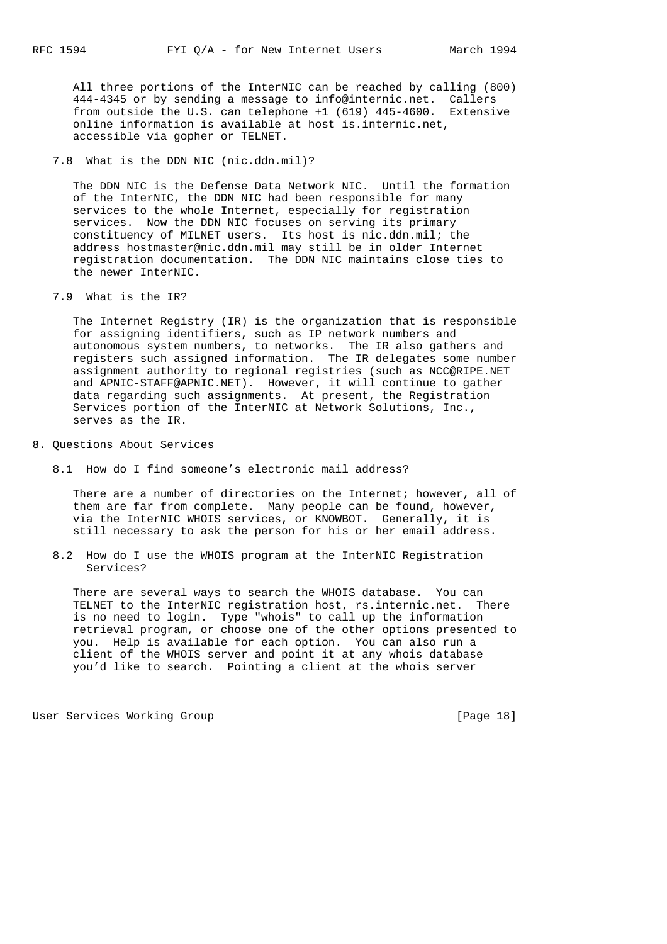All three portions of the InterNIC can be reached by calling (800) 444-4345 or by sending a message to info@internic.net. Callers from outside the U.S. can telephone +1 (619) 445-4600. Extensive online information is available at host is.internic.net, accessible via gopher or TELNET.

7.8 What is the DDN NIC (nic.ddn.mil)?

 The DDN NIC is the Defense Data Network NIC. Until the formation of the InterNIC, the DDN NIC had been responsible for many services to the whole Internet, especially for registration services. Now the DDN NIC focuses on serving its primary constituency of MILNET users. Its host is nic.ddn.mil; the address hostmaster@nic.ddn.mil may still be in older Internet registration documentation. The DDN NIC maintains close ties to the newer InterNIC.

7.9 What is the IR?

 The Internet Registry (IR) is the organization that is responsible for assigning identifiers, such as IP network numbers and autonomous system numbers, to networks. The IR also gathers and registers such assigned information. The IR delegates some number assignment authority to regional registries (such as NCC@RIPE.NET and APNIC-STAFF@APNIC.NET). However, it will continue to gather data regarding such assignments. At present, the Registration Services portion of the InterNIC at Network Solutions, Inc., serves as the IR.

- 8. Questions About Services
	- 8.1 How do I find someone's electronic mail address?

 There are a number of directories on the Internet; however, all of them are far from complete. Many people can be found, however, via the InterNIC WHOIS services, or KNOWBOT. Generally, it is still necessary to ask the person for his or her email address.

 8.2 How do I use the WHOIS program at the InterNIC Registration Services?

 There are several ways to search the WHOIS database. You can TELNET to the InterNIC registration host, rs.internic.net. There is no need to login. Type "whois" to call up the information retrieval program, or choose one of the other options presented to you. Help is available for each option. You can also run a client of the WHOIS server and point it at any whois database you'd like to search. Pointing a client at the whois server

User Services Working Group **[Page 18]**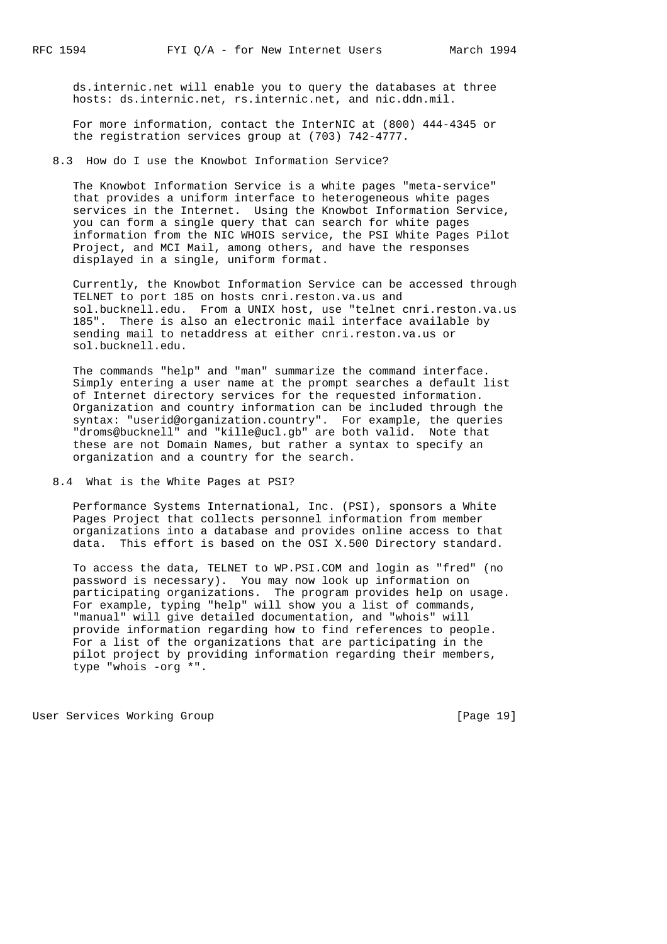ds.internic.net will enable you to query the databases at three hosts: ds.internic.net, rs.internic.net, and nic.ddn.mil.

 For more information, contact the InterNIC at (800) 444-4345 or the registration services group at (703) 742-4777.

8.3 How do I use the Knowbot Information Service?

 The Knowbot Information Service is a white pages "meta-service" that provides a uniform interface to heterogeneous white pages services in the Internet. Using the Knowbot Information Service, you can form a single query that can search for white pages information from the NIC WHOIS service, the PSI White Pages Pilot Project, and MCI Mail, among others, and have the responses displayed in a single, uniform format.

 Currently, the Knowbot Information Service can be accessed through TELNET to port 185 on hosts cnri.reston.va.us and sol.bucknell.edu. From a UNIX host, use "telnet cnri.reston.va.us 185". There is also an electronic mail interface available by sending mail to netaddress at either cnri.reston.va.us or sol.bucknell.edu.

 The commands "help" and "man" summarize the command interface. Simply entering a user name at the prompt searches a default list of Internet directory services for the requested information. Organization and country information can be included through the syntax: "userid@organization.country". For example, the queries "droms@bucknell" and "kille@ucl.gb" are both valid. Note that these are not Domain Names, but rather a syntax to specify an organization and a country for the search.

8.4 What is the White Pages at PSI?

 Performance Systems International, Inc. (PSI), sponsors a White Pages Project that collects personnel information from member organizations into a database and provides online access to that data. This effort is based on the OSI X.500 Directory standard.

 To access the data, TELNET to WP.PSI.COM and login as "fred" (no password is necessary). You may now look up information on participating organizations. The program provides help on usage. For example, typing "help" will show you a list of commands, "manual" will give detailed documentation, and "whois" will provide information regarding how to find references to people. For a list of the organizations that are participating in the pilot project by providing information regarding their members, type "whois -org \*".

User Services Working Group **[Page 19]** [Page 19]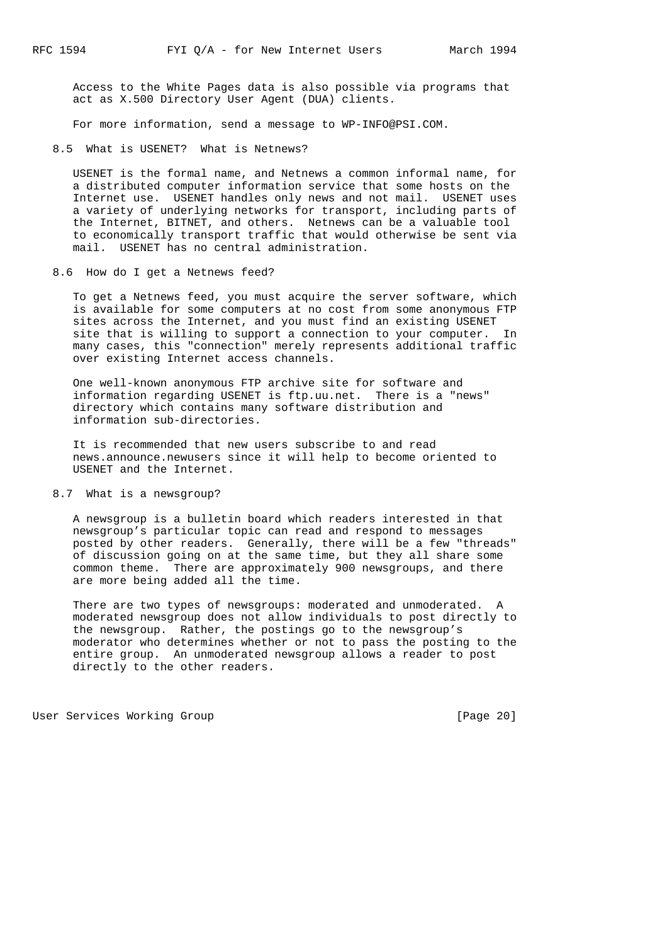Access to the White Pages data is also possible via programs that act as X.500 Directory User Agent (DUA) clients.

For more information, send a message to WP-INFO@PSI.COM.

8.5 What is USENET? What is Netnews?

 USENET is the formal name, and Netnews a common informal name, for a distributed computer information service that some hosts on the Internet use. USENET handles only news and not mail. USENET uses a variety of underlying networks for transport, including parts of the Internet, BITNET, and others. Netnews can be a valuable tool to economically transport traffic that would otherwise be sent via mail. USENET has no central administration.

8.6 How do I get a Netnews feed?

 To get a Netnews feed, you must acquire the server software, which is available for some computers at no cost from some anonymous FTP sites across the Internet, and you must find an existing USENET site that is willing to support a connection to your computer. In many cases, this "connection" merely represents additional traffic over existing Internet access channels.

 One well-known anonymous FTP archive site for software and information regarding USENET is ftp.uu.net. There is a "news" directory which contains many software distribution and information sub-directories.

 It is recommended that new users subscribe to and read news.announce.newusers since it will help to become oriented to USENET and the Internet.

8.7 What is a newsgroup?

 A newsgroup is a bulletin board which readers interested in that newsgroup's particular topic can read and respond to messages posted by other readers. Generally, there will be a few "threads" of discussion going on at the same time, but they all share some common theme. There are approximately 900 newsgroups, and there are more being added all the time.

 There are two types of newsgroups: moderated and unmoderated. A moderated newsgroup does not allow individuals to post directly to the newsgroup. Rather, the postings go to the newsgroup's moderator who determines whether or not to pass the posting to the entire group. An unmoderated newsgroup allows a reader to post directly to the other readers.

User Services Working Group **[Page 20]**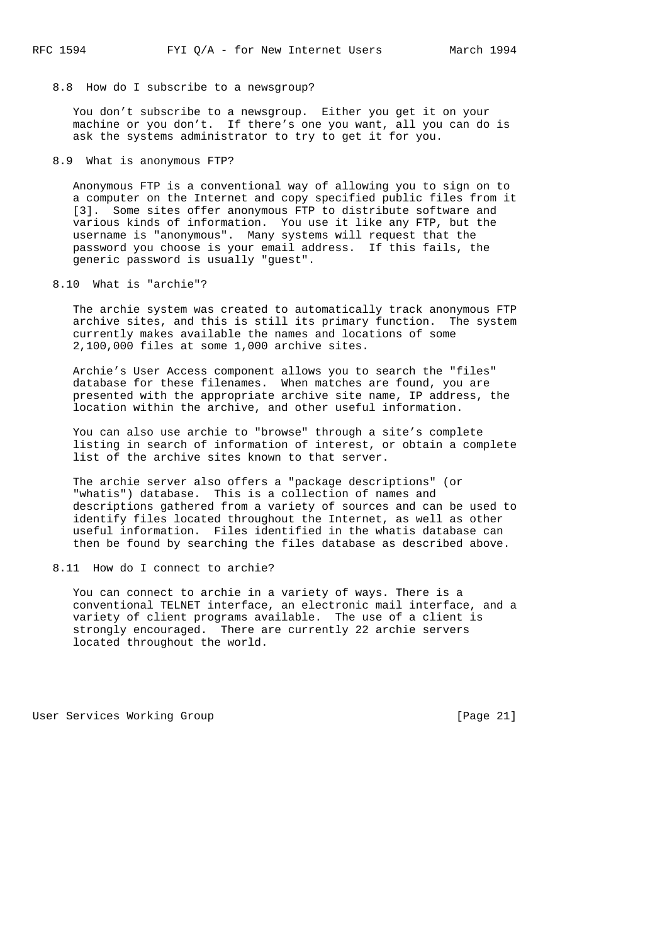8.8 How do I subscribe to a newsgroup?

 You don't subscribe to a newsgroup. Either you get it on your machine or you don't. If there's one you want, all you can do is ask the systems administrator to try to get it for you.

8.9 What is anonymous FTP?

 Anonymous FTP is a conventional way of allowing you to sign on to a computer on the Internet and copy specified public files from it [3]. Some sites offer anonymous FTP to distribute software and various kinds of information. You use it like any FTP, but the username is "anonymous". Many systems will request that the password you choose is your email address. If this fails, the generic password is usually "guest".

8.10 What is "archie"?

 The archie system was created to automatically track anonymous FTP archive sites, and this is still its primary function. The system currently makes available the names and locations of some 2,100,000 files at some 1,000 archive sites.

 Archie's User Access component allows you to search the "files" database for these filenames. When matches are found, you are presented with the appropriate archive site name, IP address, the location within the archive, and other useful information.

 You can also use archie to "browse" through a site's complete listing in search of information of interest, or obtain a complete list of the archive sites known to that server.

 The archie server also offers a "package descriptions" (or "whatis") database. This is a collection of names and descriptions gathered from a variety of sources and can be used to identify files located throughout the Internet, as well as other useful information. Files identified in the whatis database can then be found by searching the files database as described above.

## 8.11 How do I connect to archie?

 You can connect to archie in a variety of ways. There is a conventional TELNET interface, an electronic mail interface, and a variety of client programs available. The use of a client is strongly encouraged. There are currently 22 archie servers located throughout the world.

User Services Working Group **[Page 21]**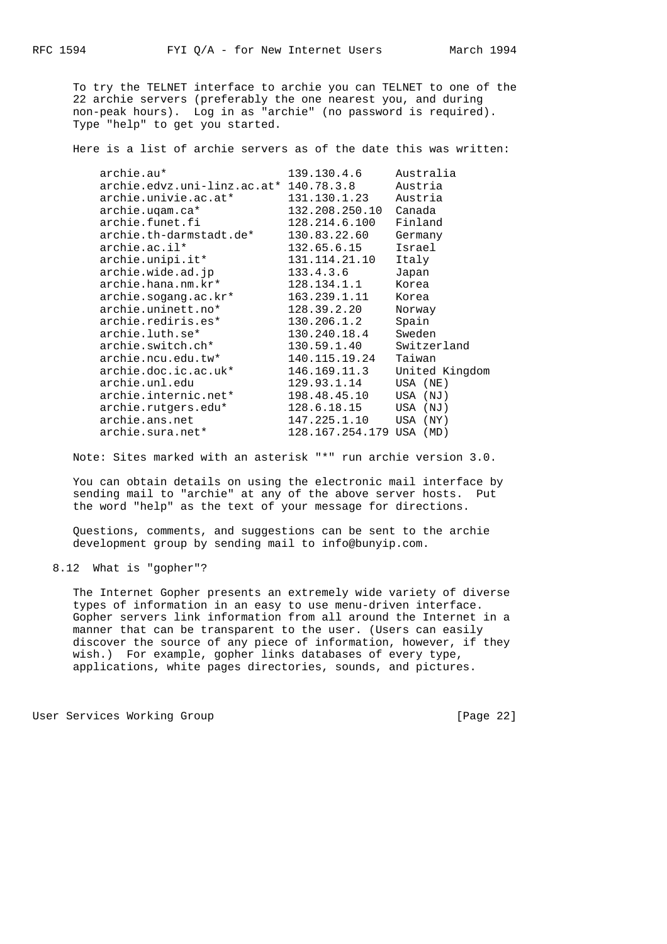To try the TELNET interface to archie you can TELNET to one of the 22 archie servers (preferably the one nearest you, and during non-peak hours). Log in as "archie" (no password is required). Type "help" to get you started.

Here is a list of archie servers as of the date this was written:

| archie.au*                             | 139.130.4.6              | Australia      |
|----------------------------------------|--------------------------|----------------|
| archie.edvz.uni-linz.ac.at* 140.78.3.8 |                          | Austria        |
| archie.univie.ac.at*                   | 131.130.1.23             | Austria        |
| archie.uqam.ca*                        | 132.208.250.10           | Canada         |
| archie.funet.fi                        | 128.214.6.100            | Finland        |
| archie.th-darmstadt.de*                | 130.83.22.60             | Germany        |
| archie.ac.il*                          | 132.65.6.15              | Israel         |
| archie.unipi.it*                       | 131.114.21.10            | Italy          |
| archie.wide.ad.jp                      | 133.4.3.6                | Japan          |
| archie.hana.nm.kr*                     | 128.134.1.1              | Korea          |
| archie.sogang.ac.kr*                   | 163.239.1.11             | Korea          |
| archie.uninett.no*                     | 128.39.2.20              | Norway         |
| archie.rediris.es*                     | 130.206.1.2              | Spain          |
| archie.luth.se*                        | 130.240.18.4             | Sweden         |
| archie.switch.ch*                      | 130.59.1.40              | Switzerland    |
| archie.ncu.edu.tw*                     | 140.115.19.24            | Taiwan         |
| archie.doc.ic.ac.uk*                   | 146.169.11.3             | United Kingdom |
| archie.unl.edu                         | 129.93.1.14              | USA (NE)       |
| archie.internic.net*                   | 198.48.45.10             | USA (NJ)       |
| archie.rutgers.edu*                    | 128.6.18.15              | USA (NJ)       |
| archie.ans.net                         | 147.225.1.10             | USA (NY)       |
| archie.sura.net*                       | 128.167.254.179 USA (MD) |                |

Note: Sites marked with an asterisk "\*" run archie version 3.0.

 You can obtain details on using the electronic mail interface by sending mail to "archie" at any of the above server hosts. Put the word "help" as the text of your message for directions.

 Questions, comments, and suggestions can be sent to the archie development group by sending mail to info@bunyip.com.

8.12 What is "gopher"?

 The Internet Gopher presents an extremely wide variety of diverse types of information in an easy to use menu-driven interface. Gopher servers link information from all around the Internet in a manner that can be transparent to the user. (Users can easily discover the source of any piece of information, however, if they wish.) For example, gopher links databases of every type, applications, white pages directories, sounds, and pictures.

User Services Working Group **[Page 22]**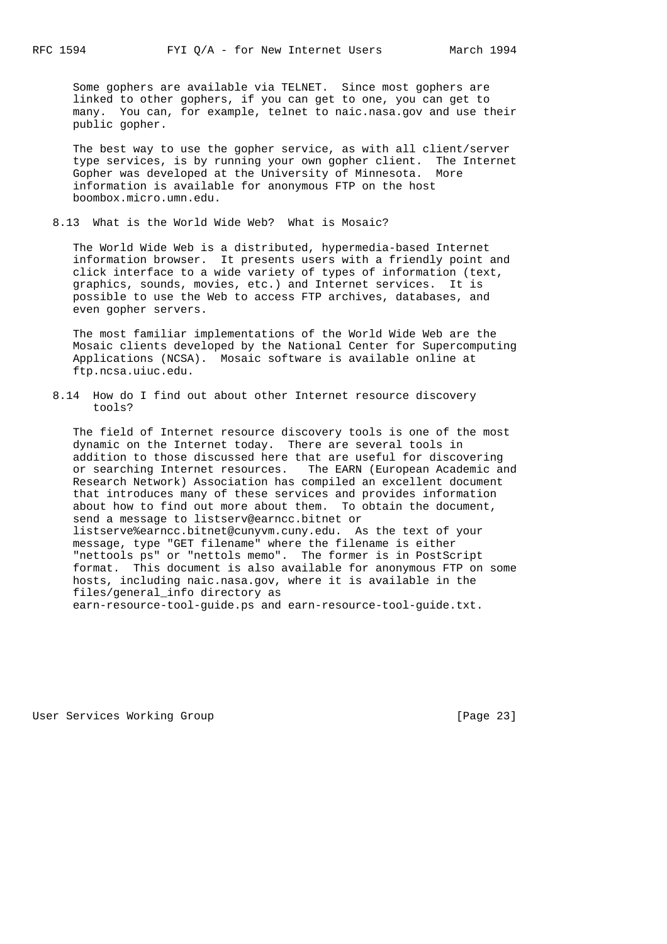Some gophers are available via TELNET. Since most gophers are linked to other gophers, if you can get to one, you can get to many. You can, for example, telnet to naic.nasa.gov and use their public gopher.

 The best way to use the gopher service, as with all client/server type services, is by running your own gopher client. The Internet Gopher was developed at the University of Minnesota. More information is available for anonymous FTP on the host boombox.micro.umn.edu.

8.13 What is the World Wide Web? What is Mosaic?

 The World Wide Web is a distributed, hypermedia-based Internet information browser. It presents users with a friendly point and click interface to a wide variety of types of information (text, graphics, sounds, movies, etc.) and Internet services. It is possible to use the Web to access FTP archives, databases, and even gopher servers.

 The most familiar implementations of the World Wide Web are the Mosaic clients developed by the National Center for Supercomputing Applications (NCSA). Mosaic software is available online at ftp.ncsa.uiuc.edu.

 8.14 How do I find out about other Internet resource discovery tools?

 The field of Internet resource discovery tools is one of the most dynamic on the Internet today. There are several tools in addition to those discussed here that are useful for discovering or searching Internet resources. The EARN (European Academic and Research Network) Association has compiled an excellent document that introduces many of these services and provides information about how to find out more about them. To obtain the document, send a message to listserv@earncc.bitnet or listserve%earncc.bitnet@cunyvm.cuny.edu. As the text of your message, type "GET filename" where the filename is either "nettools ps" or "nettols memo". The former is in PostScript format. This document is also available for anonymous FTP on some hosts, including naic.nasa.gov, where it is available in the files/general\_info directory as earn-resource-tool-guide.ps and earn-resource-tool-guide.txt.

User Services Working Group **[Page 23]**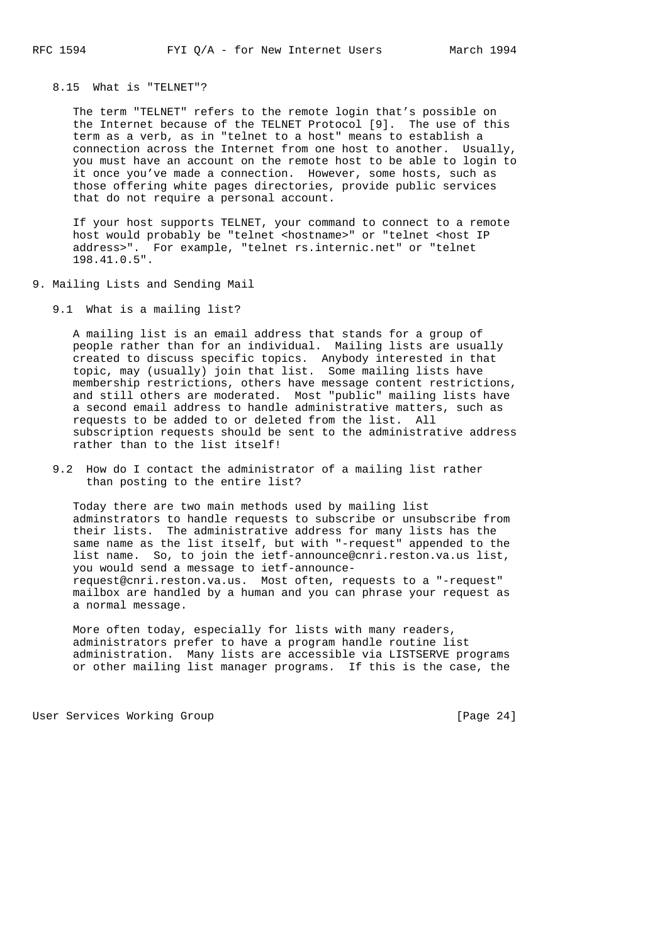## 8.15 What is "TELNET"?

 The term "TELNET" refers to the remote login that's possible on the Internet because of the TELNET Protocol [9]. The use of this term as a verb, as in "telnet to a host" means to establish a connection across the Internet from one host to another. Usually, you must have an account on the remote host to be able to login to it once you've made a connection. However, some hosts, such as those offering white pages directories, provide public services that do not require a personal account.

 If your host supports TELNET, your command to connect to a remote host would probably be "telnet <hostname>" or "telnet <host IP address>". For example, "telnet rs.internic.net" or "telnet 198.41.0.5".

- 9. Mailing Lists and Sending Mail
	- 9.1 What is a mailing list?

 A mailing list is an email address that stands for a group of people rather than for an individual. Mailing lists are usually created to discuss specific topics. Anybody interested in that topic, may (usually) join that list. Some mailing lists have membership restrictions, others have message content restrictions, and still others are moderated. Most "public" mailing lists have a second email address to handle administrative matters, such as requests to be added to or deleted from the list. All subscription requests should be sent to the administrative address rather than to the list itself!

 9.2 How do I contact the administrator of a mailing list rather than posting to the entire list?

 Today there are two main methods used by mailing list adminstrators to handle requests to subscribe or unsubscribe from their lists. The administrative address for many lists has the same name as the list itself, but with "-request" appended to the list name. So, to join the ietf-announce@cnri.reston.va.us list, you would send a message to ietf-announce request@cnri.reston.va.us. Most often, requests to a "-request" mailbox are handled by a human and you can phrase your request as a normal message.

 More often today, especially for lists with many readers, administrators prefer to have a program handle routine list administration. Many lists are accessible via LISTSERVE programs or other mailing list manager programs. If this is the case, the

User Services Working Group **by the Community Construction** (Page 24)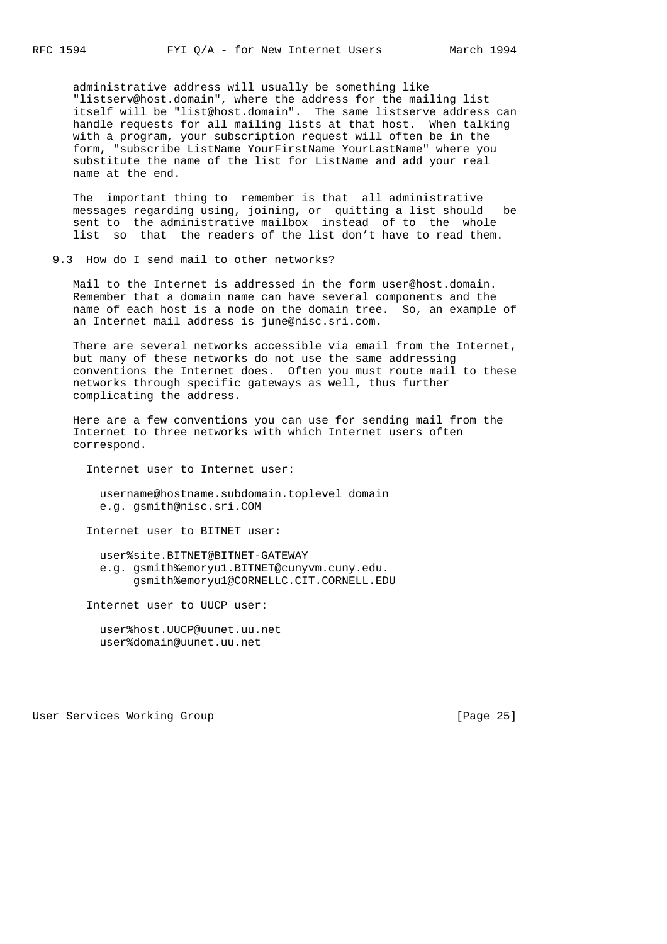administrative address will usually be something like "listserv@host.domain", where the address for the mailing list itself will be "list@host.domain". The same listserve address can handle requests for all mailing lists at that host. When talking with a program, your subscription request will often be in the form, "subscribe ListName YourFirstName YourLastName" where you substitute the name of the list for ListName and add your real name at the end.

 The important thing to remember is that all administrative messages regarding using, joining, or quitting a list should be sent to the administrative mailbox instead of to the whole list so that the readers of the list don't have to read them.

9.3 How do I send mail to other networks?

 Mail to the Internet is addressed in the form user@host.domain. Remember that a domain name can have several components and the name of each host is a node on the domain tree. So, an example of an Internet mail address is june@nisc.sri.com.

 There are several networks accessible via email from the Internet, but many of these networks do not use the same addressing conventions the Internet does. Often you must route mail to these networks through specific gateways as well, thus further complicating the address.

 Here are a few conventions you can use for sending mail from the Internet to three networks with which Internet users often correspond.

Internet user to Internet user:

 username@hostname.subdomain.toplevel domain e.g. gsmith@nisc.sri.COM

Internet user to BITNET user:

 user%site.BITNET@BITNET-GATEWAY e.g. gsmith%emoryu1.BITNET@cunyvm.cuny.edu. gsmith%emoryu1@CORNELLC.CIT.CORNELL.EDU

Internet user to UUCP user:

 user%host.UUCP@uunet.uu.net user%domain@uunet.uu.net

User Services Working Group **[Page 25]**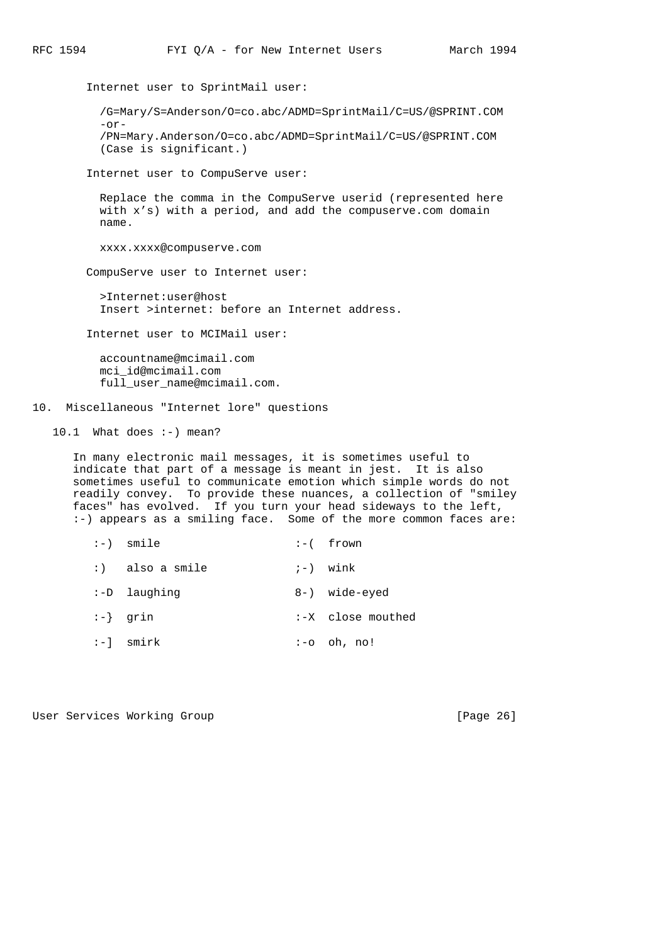Internet user to SprintMail user: /G=Mary/S=Anderson/O=co.abc/ADMD=SprintMail/C=US/@SPRINT.COM  $-or-$  /PN=Mary.Anderson/O=co.abc/ADMD=SprintMail/C=US/@SPRINT.COM (Case is significant.) Internet user to CompuServe user: Replace the comma in the CompuServe userid (represented here with x's) with a period, and add the compuserve.com domain name. xxxx.xxxx@compuserve.com CompuServe user to Internet user: >Internet:user@host Insert >internet: before an Internet address.

Internet user to MCIMail user:

 accountname@mcimail.com mci\_id@mcimail.com full\_user\_name@mcimail.com.

## 10. Miscellaneous "Internet lore" questions

10.1 What does :-) mean?

 In many electronic mail messages, it is sometimes useful to indicate that part of a message is meant in jest. It is also sometimes useful to communicate emotion which simple words do not readily convey. To provide these nuances, a collection of "smiley faces" has evolved. If you turn your head sideways to the left, :-) appears as a smiling face. Some of the more common faces are:

 :-) smile :-( frown  $:$  also a smile  $:$   $:$   $\rightarrow$  wink :-D laughing 8-) wide-eyed :-} grin :-X close mouthed :-] smirk :-o oh, no!

User Services Working Group **[Page 26]**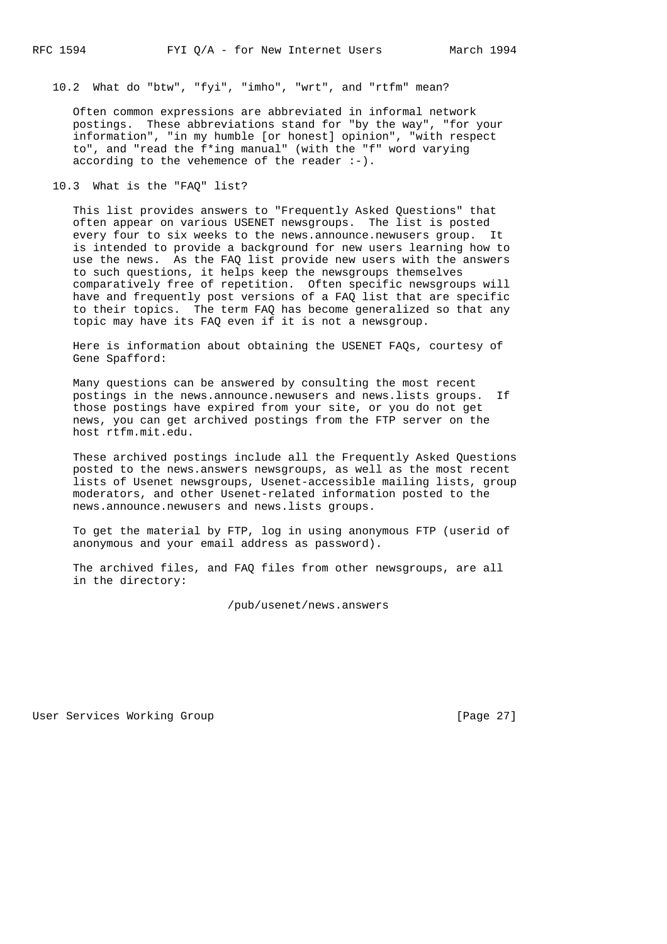10.2 What do "btw", "fyi", "imho", "wrt", and "rtfm" mean?

 Often common expressions are abbreviated in informal network postings. These abbreviations stand for "by the way", "for your information", "in my humble [or honest] opinion", "with respect to", and "read the f\*ing manual" (with the "f" word varying according to the vehemence of the reader  $:-)$ .

10.3 What is the "FAQ" list?

 This list provides answers to "Frequently Asked Questions" that often appear on various USENET newsgroups. The list is posted every four to six weeks to the news.announce.newusers group. It is intended to provide a background for new users learning how to use the news. As the FAQ list provide new users with the answers to such questions, it helps keep the newsgroups themselves comparatively free of repetition. Often specific newsgroups will have and frequently post versions of a FAQ list that are specific to their topics. The term FAQ has become generalized so that any topic may have its FAQ even if it is not a newsgroup.

 Here is information about obtaining the USENET FAQs, courtesy of Gene Spafford:

 Many questions can be answered by consulting the most recent postings in the news.announce.newusers and news.lists groups. If those postings have expired from your site, or you do not get news, you can get archived postings from the FTP server on the host rtfm.mit.edu.

 These archived postings include all the Frequently Asked Questions posted to the news.answers newsgroups, as well as the most recent lists of Usenet newsgroups, Usenet-accessible mailing lists, group moderators, and other Usenet-related information posted to the news.announce.newusers and news.lists groups.

 To get the material by FTP, log in using anonymous FTP (userid of anonymous and your email address as password).

 The archived files, and FAQ files from other newsgroups, are all in the directory:

/pub/usenet/news.answers

User Services Working Group **[Page 27]**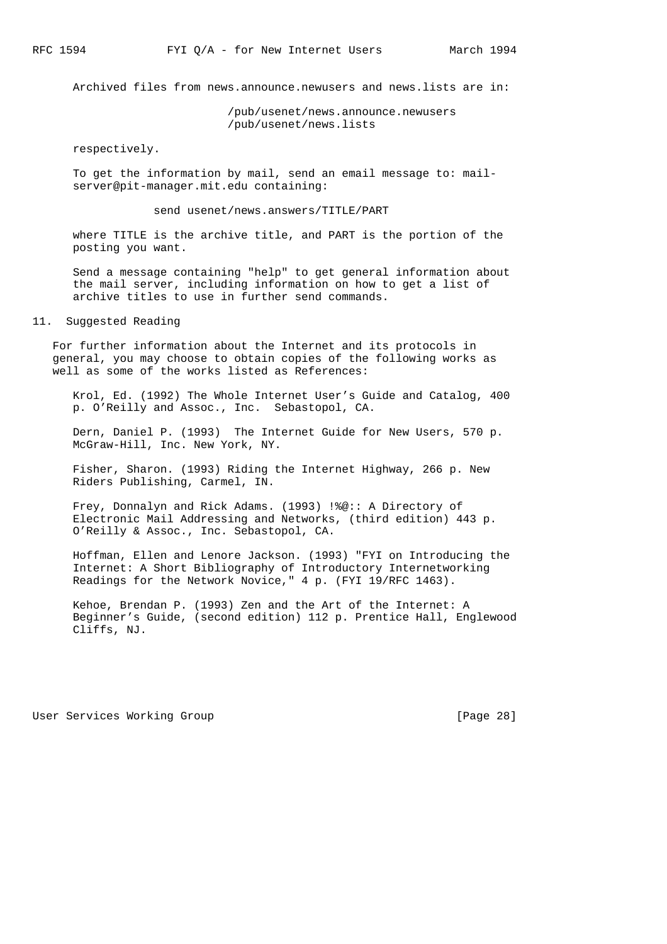Archived files from news.announce.newusers and news.lists are in:

 /pub/usenet/news.announce.newusers /pub/usenet/news.lists

respectively.

 To get the information by mail, send an email message to: mail server@pit-manager.mit.edu containing:

send usenet/news.answers/TITLE/PART

 where TITLE is the archive title, and PART is the portion of the posting you want.

 Send a message containing "help" to get general information about the mail server, including information on how to get a list of archive titles to use in further send commands.

11. Suggested Reading

 For further information about the Internet and its protocols in general, you may choose to obtain copies of the following works as well as some of the works listed as References:

 Krol, Ed. (1992) The Whole Internet User's Guide and Catalog, 400 p. O'Reilly and Assoc., Inc. Sebastopol, CA.

 Dern, Daniel P. (1993) The Internet Guide for New Users, 570 p. McGraw-Hill, Inc. New York, NY.

 Fisher, Sharon. (1993) Riding the Internet Highway, 266 p. New Riders Publishing, Carmel, IN.

 Frey, Donnalyn and Rick Adams. (1993) !%@:: A Directory of Electronic Mail Addressing and Networks, (third edition) 443 p. O'Reilly & Assoc., Inc. Sebastopol, CA.

 Hoffman, Ellen and Lenore Jackson. (1993) "FYI on Introducing the Internet: A Short Bibliography of Introductory Internetworking Readings for the Network Novice," 4 p. (FYI 19/RFC 1463).

 Kehoe, Brendan P. (1993) Zen and the Art of the Internet: A Beginner's Guide, (second edition) 112 p. Prentice Hall, Englewood Cliffs, NJ.

User Services Working Group **[Page 28]**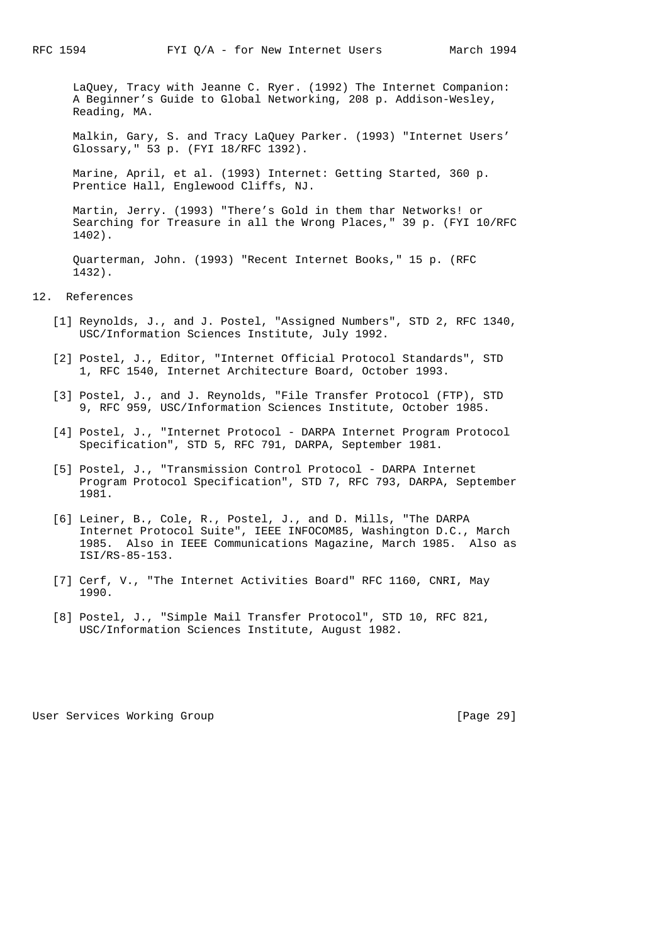LaQuey, Tracy with Jeanne C. Ryer. (1992) The Internet Companion: A Beginner's Guide to Global Networking, 208 p. Addison-Wesley, Reading, MA.

 Malkin, Gary, S. and Tracy LaQuey Parker. (1993) "Internet Users' Glossary," 53 p. (FYI 18/RFC 1392).

 Marine, April, et al. (1993) Internet: Getting Started, 360 p. Prentice Hall, Englewood Cliffs, NJ.

 Martin, Jerry. (1993) "There's Gold in them thar Networks! or Searching for Treasure in all the Wrong Places," 39 p. (FYI 10/RFC 1402).

 Quarterman, John. (1993) "Recent Internet Books," 15 p. (RFC 1432).

## 12. References

- [1] Reynolds, J., and J. Postel, "Assigned Numbers", STD 2, RFC 1340, USC/Information Sciences Institute, July 1992.
- [2] Postel, J., Editor, "Internet Official Protocol Standards", STD 1, RFC 1540, Internet Architecture Board, October 1993.
- [3] Postel, J., and J. Reynolds, "File Transfer Protocol (FTP), STD 9, RFC 959, USC/Information Sciences Institute, October 1985.
- [4] Postel, J., "Internet Protocol DARPA Internet Program Protocol Specification", STD 5, RFC 791, DARPA, September 1981.
- [5] Postel, J., "Transmission Control Protocol DARPA Internet Program Protocol Specification", STD 7, RFC 793, DARPA, September 1981.
- [6] Leiner, B., Cole, R., Postel, J., and D. Mills, "The DARPA Internet Protocol Suite", IEEE INFOCOM85, Washington D.C., March 1985. Also in IEEE Communications Magazine, March 1985. Also as ISI/RS-85-153.
- [7] Cerf, V., "The Internet Activities Board" RFC 1160, CNRI, May 1990.
- [8] Postel, J., "Simple Mail Transfer Protocol", STD 10, RFC 821, USC/Information Sciences Institute, August 1982.

User Services Working Group **[Page 29]**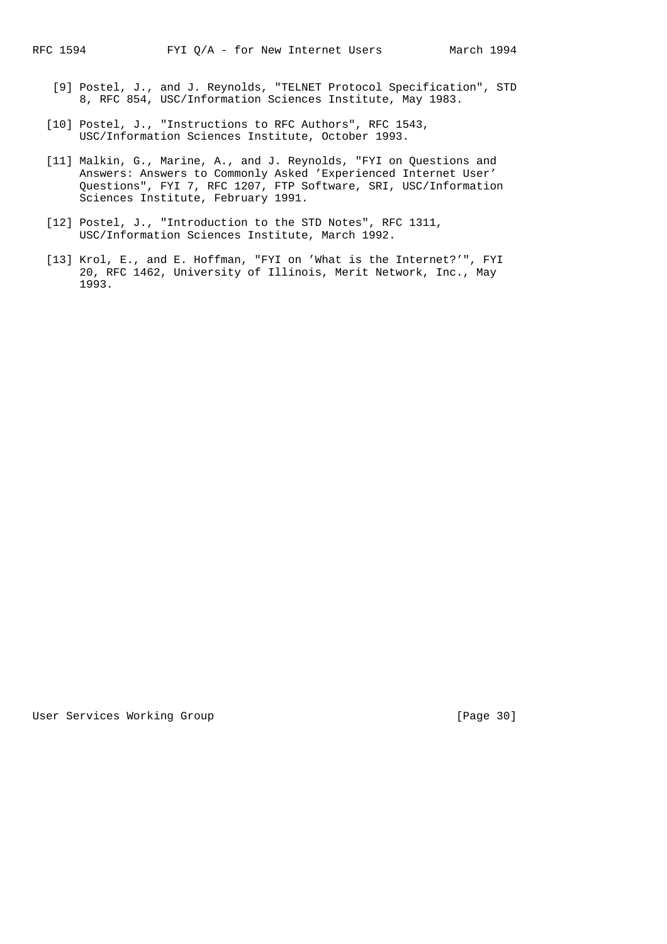- [9] Postel, J., and J. Reynolds, "TELNET Protocol Specification", STD 8, RFC 854, USC/Information Sciences Institute, May 1983.
- [10] Postel, J., "Instructions to RFC Authors", RFC 1543, USC/Information Sciences Institute, October 1993.
- [11] Malkin, G., Marine, A., and J. Reynolds, "FYI on Questions and Answers: Answers to Commonly Asked 'Experienced Internet User' Questions", FYI 7, RFC 1207, FTP Software, SRI, USC/Information Sciences Institute, February 1991.
- [12] Postel, J., "Introduction to the STD Notes", RFC 1311, USC/Information Sciences Institute, March 1992.
- [13] Krol, E., and E. Hoffman, "FYI on 'What is the Internet?'", FYI 20, RFC 1462, University of Illinois, Merit Network, Inc., May 1993.

User Services Working Group **[Page 30]**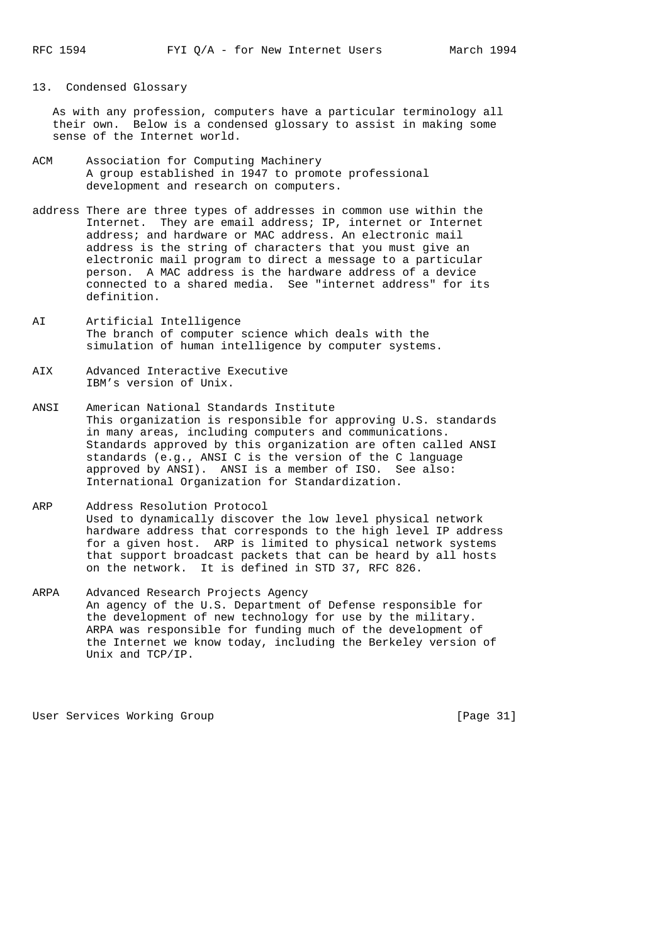#### 13. Condensed Glossary

 As with any profession, computers have a particular terminology all their own. Below is a condensed glossary to assist in making some sense of the Internet world.

- ACM Association for Computing Machinery A group established in 1947 to promote professional development and research on computers.
- address There are three types of addresses in common use within the Internet. They are email address; IP, internet or Internet address; and hardware or MAC address. An electronic mail address is the string of characters that you must give an electronic mail program to direct a message to a particular person. A MAC address is the hardware address of a device connected to a shared media. See "internet address" for its definition.
- AI Artificial Intelligence The branch of computer science which deals with the simulation of human intelligence by computer systems.
- AIX Advanced Interactive Executive IBM's version of Unix.
- ANSI American National Standards Institute This organization is responsible for approving U.S. standards in many areas, including computers and communications. Standards approved by this organization are often called ANSI standards (e.g., ANSI C is the version of the C language approved by ANSI). ANSI is a member of ISO. See also: International Organization for Standardization.
- ARP Address Resolution Protocol Used to dynamically discover the low level physical network hardware address that corresponds to the high level IP address for a given host. ARP is limited to physical network systems that support broadcast packets that can be heard by all hosts on the network. It is defined in STD 37, RFC 826.
- ARPA Advanced Research Projects Agency An agency of the U.S. Department of Defense responsible for the development of new technology for use by the military. ARPA was responsible for funding much of the development of the Internet we know today, including the Berkeley version of Unix and TCP/IP.

User Services Working Group **[Page 31]**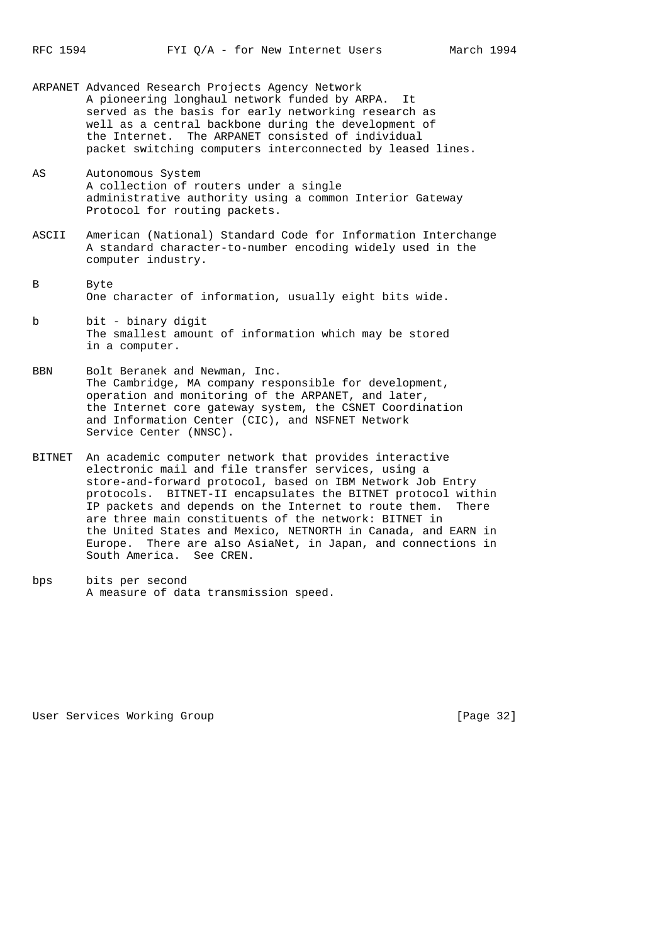- ARPANET Advanced Research Projects Agency Network A pioneering longhaul network funded by ARPA. served as the basis for early networking research as well as a central backbone during the development of the Internet. The ARPANET consisted of individual packet switching computers interconnected by leased lines.
- AS Autonomous System A collection of routers under a single administrative authority using a common Interior Gateway Protocol for routing packets.
- ASCII American (National) Standard Code for Information Interchange A standard character-to-number encoding widely used in the computer industry.
- B Byte One character of information, usually eight bits wide.
- b bit binary digit The smallest amount of information which may be stored in a computer.
- BBN Bolt Beranek and Newman, Inc. The Cambridge, MA company responsible for development, operation and monitoring of the ARPANET, and later, the Internet core gateway system, the CSNET Coordination and Information Center (CIC), and NSFNET Network Service Center (NNSC).
- BITNET An academic computer network that provides interactive electronic mail and file transfer services, using a store-and-forward protocol, based on IBM Network Job Entry protocols. BITNET-II encapsulates the BITNET protocol within IP packets and depends on the Internet to route them. There are three main constituents of the network: BITNET in the United States and Mexico, NETNORTH in Canada, and EARN in Europe. There are also AsiaNet, in Japan, and connections in South America. See CREN.
- bps bits per second A measure of data transmission speed.

User Services Working Group **[Page 32]**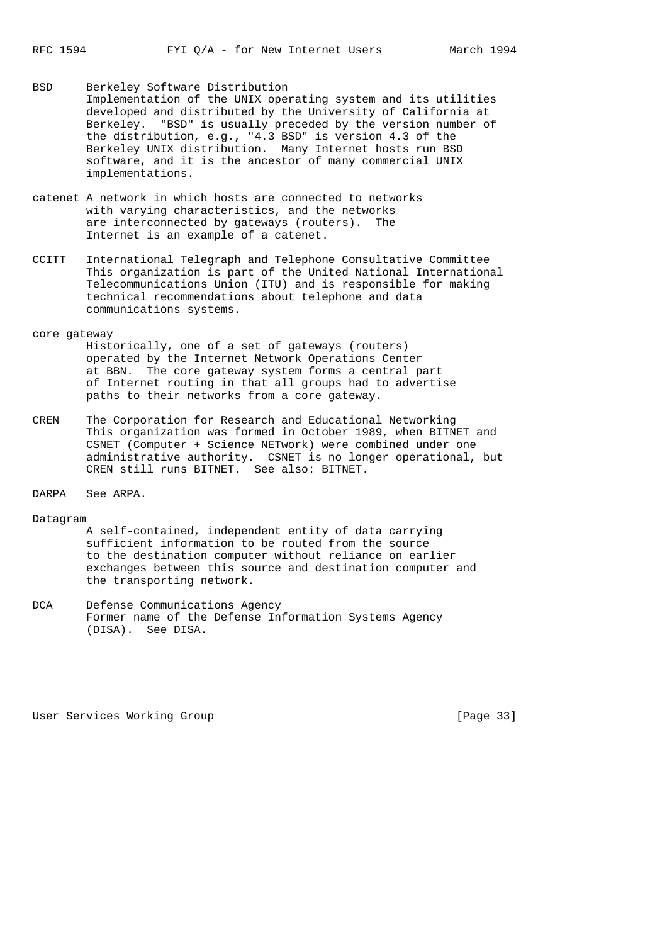- BSD Berkeley Software Distribution Implementation of the UNIX operating system and its utilities developed and distributed by the University of California at Berkeley. "BSD" is usually preceded by the version number of the distribution, e.g., "4.3 BSD" is version 4.3 of the Berkeley UNIX distribution. Many Internet hosts run BSD software, and it is the ancestor of many commercial UNIX implementations.
- catenet A network in which hosts are connected to networks with varying characteristics, and the networks are interconnected by gateways (routers). The Internet is an example of a catenet.
- CCITT International Telegraph and Telephone Consultative Committee This organization is part of the United National International Telecommunications Union (ITU) and is responsible for making technical recommendations about telephone and data communications systems.

#### core gateway

 Historically, one of a set of gateways (routers) operated by the Internet Network Operations Center at BBN. The core gateway system forms a central part of Internet routing in that all groups had to advertise paths to their networks from a core gateway.

- CREN The Corporation for Research and Educational Networking This organization was formed in October 1989, when BITNET and CSNET (Computer + Science NETwork) were combined under one administrative authority. CSNET is no longer operational, but CREN still runs BITNET. See also: BITNET.
- DARPA See ARPA.
- Datagram
	- A self-contained, independent entity of data carrying sufficient information to be routed from the source to the destination computer without reliance on earlier exchanges between this source and destination computer and the transporting network.
- DCA Defense Communications Agency Former name of the Defense Information Systems Agency (DISA). See DISA.

User Services Working Group **[Page 33]**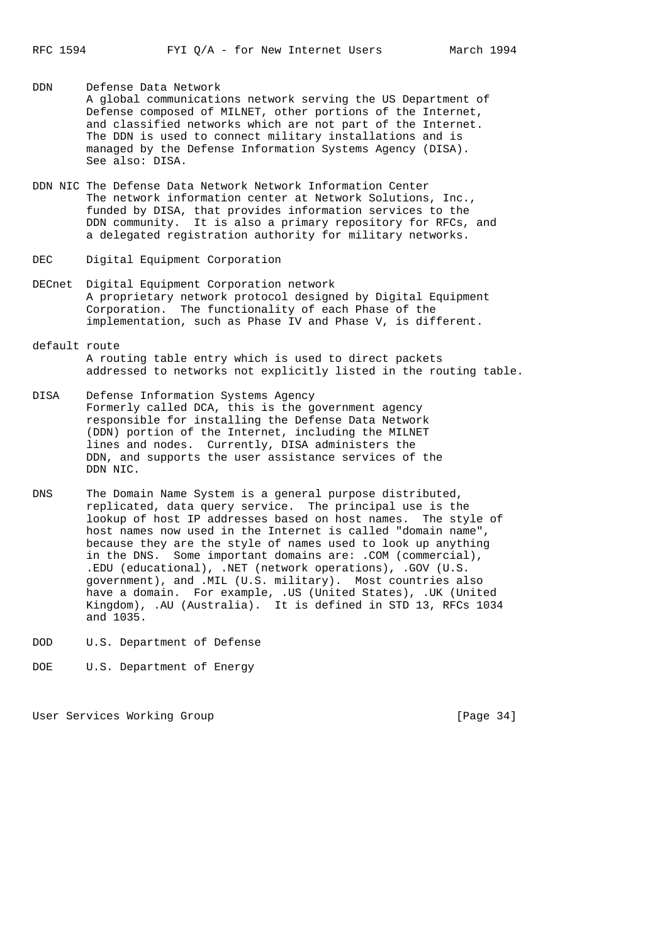- DDN Defense Data Network A global communications network serving the US Department of Defense composed of MILNET, other portions of the Internet, and classified networks which are not part of the Internet. The DDN is used to connect military installations and is managed by the Defense Information Systems Agency (DISA). See also: DISA.
- DDN NIC The Defense Data Network Network Information Center The network information center at Network Solutions, Inc., funded by DISA, that provides information services to the DDN community. It is also a primary repository for RFCs, and a delegated registration authority for military networks.
- DEC Digital Equipment Corporation
- DECnet Digital Equipment Corporation network A proprietary network protocol designed by Digital Equipment Corporation. The functionality of each Phase of the implementation, such as Phase IV and Phase V, is different.
- default route A routing table entry which is used to direct packets addressed to networks not explicitly listed in the routing table.
- DISA Defense Information Systems Agency Formerly called DCA, this is the government agency responsible for installing the Defense Data Network (DDN) portion of the Internet, including the MILNET lines and nodes. Currently, DISA administers the DDN, and supports the user assistance services of the DDN NIC.
- DNS The Domain Name System is a general purpose distributed, replicated, data query service. The principal use is the lookup of host IP addresses based on host names. The style of host names now used in the Internet is called "domain name", because they are the style of names used to look up anything in the DNS. Some important domains are: .COM (commercial), .EDU (educational), .NET (network operations), .GOV (U.S. government), and .MIL (U.S. military). Most countries also have a domain. For example, .US (United States), .UK (United Kingdom), .AU (Australia). It is defined in STD 13, RFCs 1034 and 1035.
- DOD U.S. Department of Defense
- DOE U.S. Department of Energy

User Services Working Group **[Page 34]**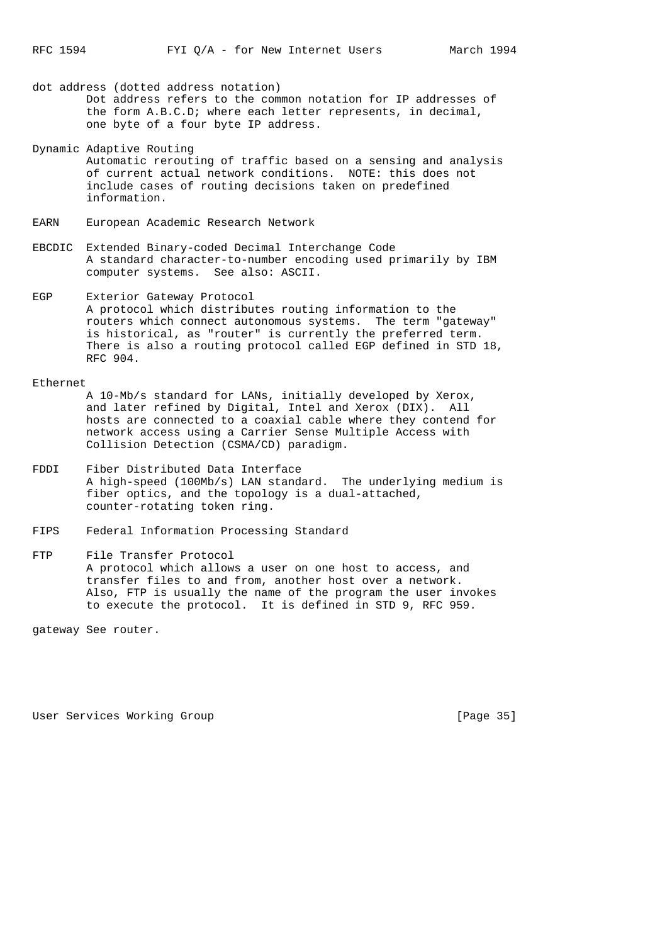dot address (dotted address notation) Dot address refers to the common notation for IP addresses of the form A.B.C.D; where each letter represents, in decimal, one byte of a four byte IP address.

- Dynamic Adaptive Routing
- Automatic rerouting of traffic based on a sensing and analysis of current actual network conditions. NOTE: this does not include cases of routing decisions taken on predefined information.
- EARN European Academic Research Network
- EBCDIC Extended Binary-coded Decimal Interchange Code A standard character-to-number encoding used primarily by IBM computer systems. See also: ASCII.
- EGP Exterior Gateway Protocol A protocol which distributes routing information to the routers which connect autonomous systems. The term "gateway" is historical, as "router" is currently the preferred term. There is also a routing protocol called EGP defined in STD 18, RFC 904.

#### Ethernet

 A 10-Mb/s standard for LANs, initially developed by Xerox, and later refined by Digital, Intel and Xerox (DIX). All hosts are connected to a coaxial cable where they contend for network access using a Carrier Sense Multiple Access with Collision Detection (CSMA/CD) paradigm.

- FDDI Fiber Distributed Data Interface A high-speed (100Mb/s) LAN standard. The underlying medium is fiber optics, and the topology is a dual-attached, counter-rotating token ring.
- FIPS Federal Information Processing Standard
- FTP File Transfer Protocol A protocol which allows a user on one host to access, and transfer files to and from, another host over a network. Also, FTP is usually the name of the program the user invokes to execute the protocol. It is defined in STD 9, RFC 959.

gateway See router.

User Services Working Group **[Page 35]**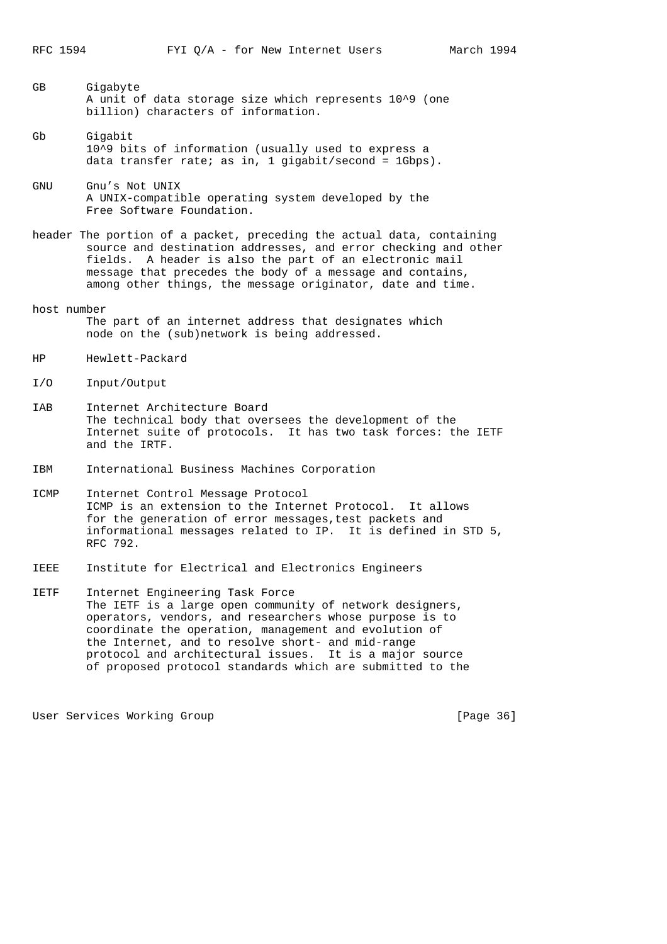- GB Gigabyte A unit of data storage size which represents 10^9 (one billion) characters of information.
- Gb Gigabit 10^9 bits of information (usually used to express a data transfer rate; as in, 1 gigabit/second =  $1Gbps$ ).
- GNU Gnu's Not UNIX A UNIX-compatible operating system developed by the Free Software Foundation.
- header The portion of a packet, preceding the actual data, containing source and destination addresses, and error checking and other fields. A header is also the part of an electronic mail message that precedes the body of a message and contains, among other things, the message originator, date and time.
- host number The part of an internet address that designates which node on the (sub)network is being addressed.
- HP Hewlett-Packard
- I/O Input/Output
- IAB Internet Architecture Board The technical body that oversees the development of the Internet suite of protocols. It has two task forces: the IETF and the IRTF.
- IBM International Business Machines Corporation
- ICMP Internet Control Message Protocol ICMP is an extension to the Internet Protocol. It allows for the generation of error messages,test packets and informational messages related to IP. It is defined in STD 5, RFC 792.
- IEEE Institute for Electrical and Electronics Engineers
- IETF Internet Engineering Task Force The IETF is a large open community of network designers, operators, vendors, and researchers whose purpose is to coordinate the operation, management and evolution of the Internet, and to resolve short- and mid-range protocol and architectural issues. It is a major source of proposed protocol standards which are submitted to the

User Services Working Group **[Page 36]** [Page 36]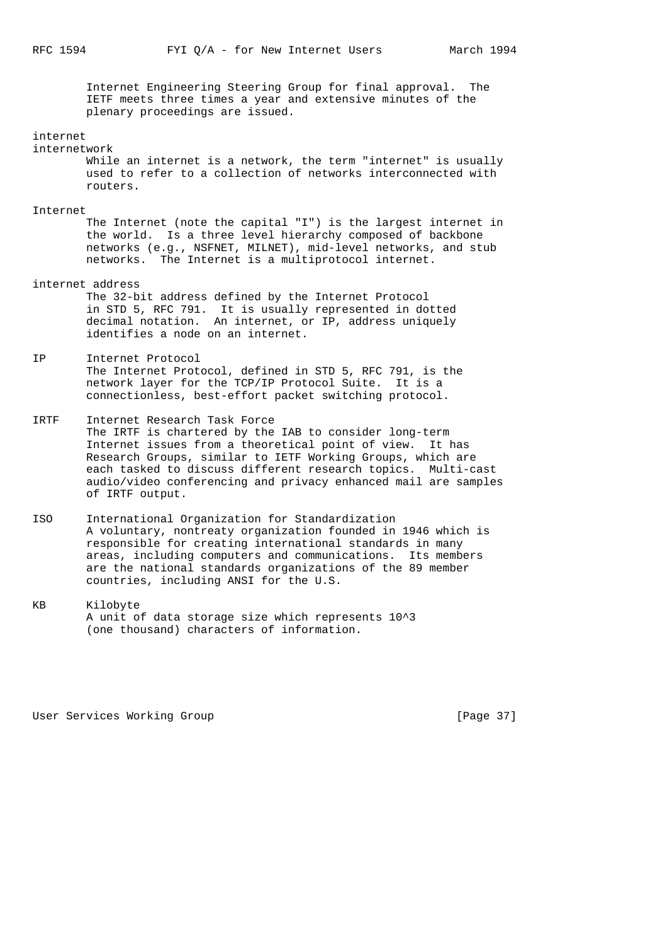Internet Engineering Steering Group for final approval. The IETF meets three times a year and extensive minutes of the plenary proceedings are issued.

#### internet

## internetwork

 While an internet is a network, the term "internet" is usually used to refer to a collection of networks interconnected with routers.

#### Internet

 The Internet (note the capital "I") is the largest internet in the world. Is a three level hierarchy composed of backbone networks (e.g., NSFNET, MILNET), mid-level networks, and stub networks. The Internet is a multiprotocol internet.

## internet address

 The 32-bit address defined by the Internet Protocol in STD 5, RFC 791. It is usually represented in dotted decimal notation. An internet, or IP, address uniquely identifies a node on an internet.

# IP Internet Protocol

 The Internet Protocol, defined in STD 5, RFC 791, is the network layer for the TCP/IP Protocol Suite. It is a connectionless, best-effort packet switching protocol.

- IRTF Internet Research Task Force The IRTF is chartered by the IAB to consider long-term Internet issues from a theoretical point of view. It has Research Groups, similar to IETF Working Groups, which are each tasked to discuss different research topics. Multi-cast audio/video conferencing and privacy enhanced mail are samples of IRTF output.
- ISO International Organization for Standardization A voluntary, nontreaty organization founded in 1946 which is responsible for creating international standards in many areas, including computers and communications. Its members are the national standards organizations of the 89 member countries, including ANSI for the U.S.
- KB Kilobyte A unit of data storage size which represents 10^3 (one thousand) characters of information.

User Services Working Group **[Page 37]**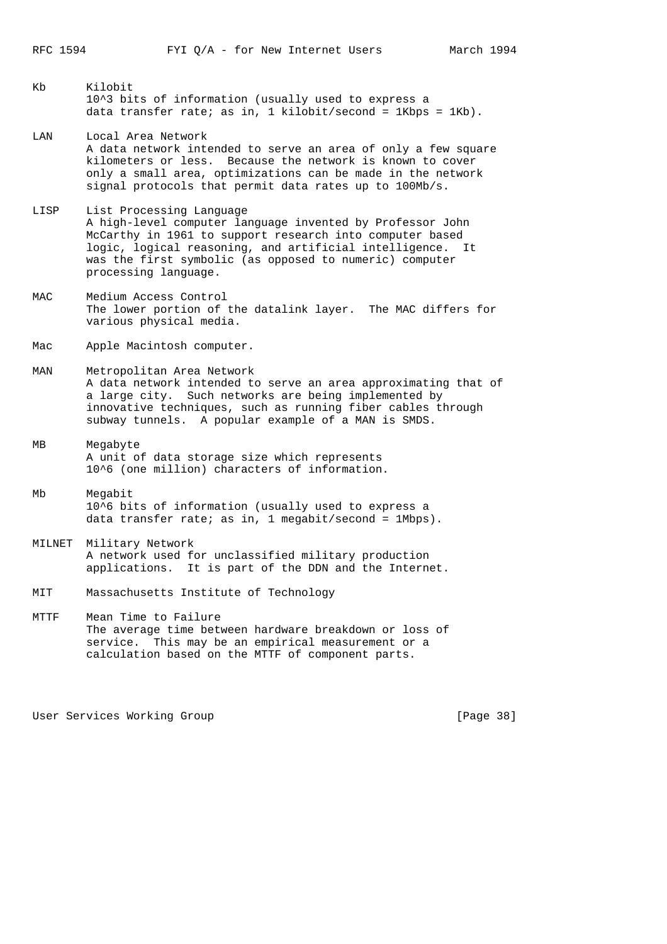- Kb Kilobit 10^3 bits of information (usually used to express a data transfer rate; as in, 1 kilobit/second = 1Kbps = 1Kb).
- LAN Local Area Network A data network intended to serve an area of only a few square kilometers or less. Because the network is known to cover only a small area, optimizations can be made in the network signal protocols that permit data rates up to 100Mb/s.
- LISP List Processing Language A high-level computer language invented by Professor John McCarthy in 1961 to support research into computer based logic, logical reasoning, and artificial intelligence. It was the first symbolic (as opposed to numeric) computer processing language.
- MAC Medium Access Control The lower portion of the datalink layer. The MAC differs for various physical media.
- Mac Apple Macintosh computer.
- MAN Metropolitan Area Network A data network intended to serve an area approximating that of a large city. Such networks are being implemented by innovative techniques, such as running fiber cables through subway tunnels. A popular example of a MAN is SMDS.
- MB Megabyte A unit of data storage size which represents 10^6 (one million) characters of information.
- Mb Megabit 10^6 bits of information (usually used to express a data transfer rate; as in, 1 megabit/second = 1Mbps).
- MILNET Military Network A network used for unclassified military production applications. It is part of the DDN and the Internet.
- MIT Massachusetts Institute of Technology
- MTTF Mean Time to Failure The average time between hardware breakdown or loss of service. This may be an empirical measurement or a calculation based on the MTTF of component parts.

User Services Working Group **[Page 38]**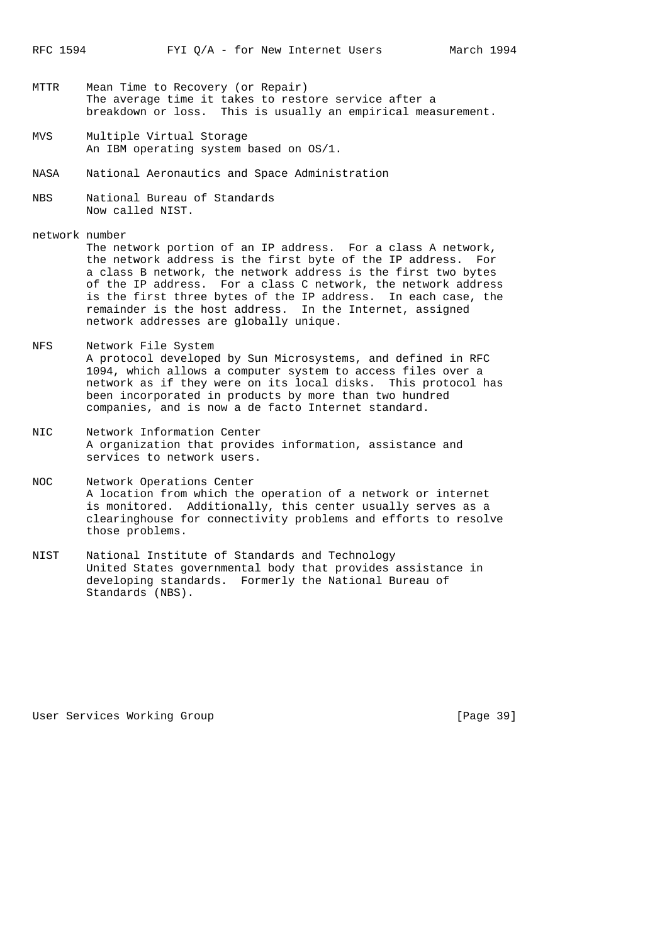- MTTR Mean Time to Recovery (or Repair) The average time it takes to restore service after a breakdown or loss. This is usually an empirical measurement.
- MVS Multiple Virtual Storage An IBM operating system based on OS/1.
- NASA National Aeronautics and Space Administration
- NBS National Bureau of Standards Now called NIST.

network number The network portion of an IP address. For a class A network, the network address is the first byte of the IP address. For a class B network, the network address is the first two bytes of the IP address. For a class C network, the network address is the first three bytes of the IP address. In each case, the remainder is the host address. In the Internet, assigned network addresses are globally unique.

- NFS Network File System A protocol developed by Sun Microsystems, and defined in RFC 1094, which allows a computer system to access files over a network as if they were on its local disks. This protocol has been incorporated in products by more than two hundred companies, and is now a de facto Internet standard.
- NIC Network Information Center A organization that provides information, assistance and services to network users.
- NOC Network Operations Center A location from which the operation of a network or internet is monitored. Additionally, this center usually serves as a clearinghouse for connectivity problems and efforts to resolve those problems.
- NIST National Institute of Standards and Technology United States governmental body that provides assistance in developing standards. Formerly the National Bureau of Standards (NBS).

User Services Working Group **[Page 39]**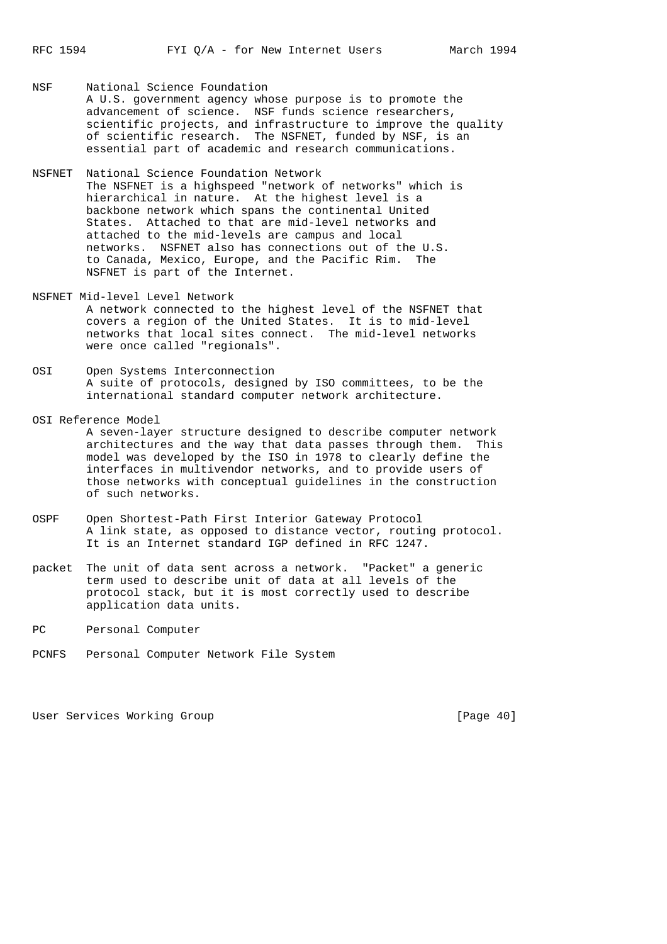NSF National Science Foundation A U.S. government agency whose purpose is to promote the advancement of science. NSF funds science researchers, scientific projects, and infrastructure to improve the quality of scientific research. The NSFNET, funded by NSF, is an essential part of academic and research communications.

- NSFNET National Science Foundation Network The NSFNET is a highspeed "network of networks" which is hierarchical in nature. At the highest level is a backbone network which spans the continental United States. Attached to that are mid-level networks and attached to the mid-levels are campus and local networks. NSFNET also has connections out of the U.S. to Canada, Mexico, Europe, and the Pacific Rim. The NSFNET is part of the Internet.
- NSFNET Mid-level Level Network A network connected to the highest level of the NSFNET that covers a region of the United States. It is to mid-level networks that local sites connect. The mid-level networks were once called "regionals".
- OSI Open Systems Interconnection A suite of protocols, designed by ISO committees, to be the international standard computer network architecture.
- OSI Reference Model A seven-layer structure designed to describe computer network architectures and the way that data passes through them. This model was developed by the ISO in 1978 to clearly define the interfaces in multivendor networks, and to provide users of those networks with conceptual guidelines in the construction of such networks.
- OSPF Open Shortest-Path First Interior Gateway Protocol A link state, as opposed to distance vector, routing protocol. It is an Internet standard IGP defined in RFC 1247.
- packet The unit of data sent across a network. "Packet" a generic term used to describe unit of data at all levels of the protocol stack, but it is most correctly used to describe application data units.
- PC Personal Computer
- PCNFS Personal Computer Network File System

User Services Working Group [Page 40]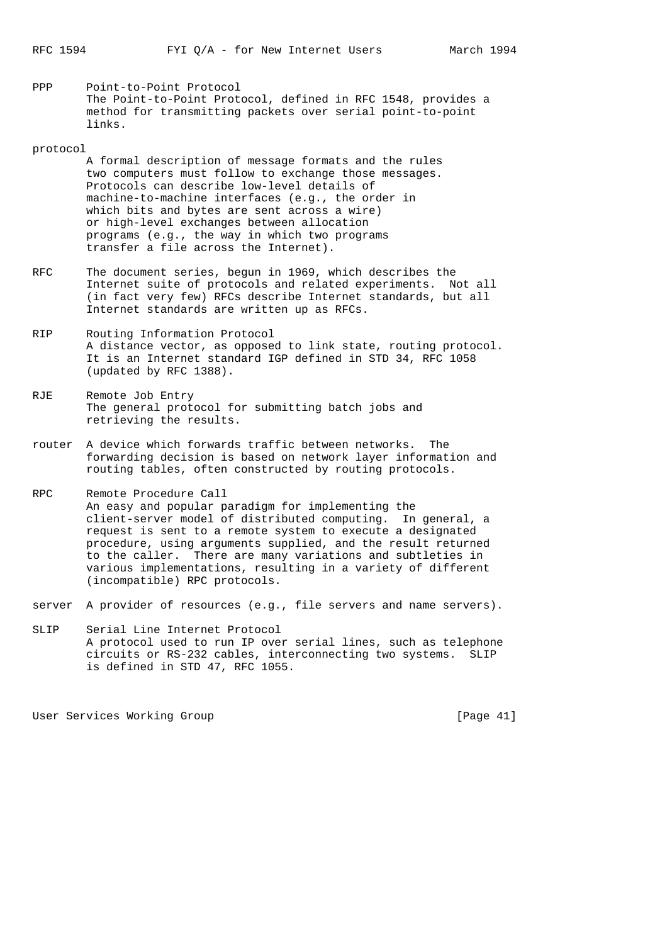PPP Point-to-Point Protocol The Point-to-Point Protocol, defined in RFC 1548, provides a method for transmitting packets over serial point-to-point links.

#### protocol

- A formal description of message formats and the rules two computers must follow to exchange those messages. Protocols can describe low-level details of machine-to-machine interfaces (e.g., the order in which bits and bytes are sent across a wire) or high-level exchanges between allocation programs (e.g., the way in which two programs transfer a file across the Internet).
- RFC The document series, begun in 1969, which describes the Internet suite of protocols and related experiments. Not all (in fact very few) RFCs describe Internet standards, but all Internet standards are written up as RFCs.
- RIP Routing Information Protocol A distance vector, as opposed to link state, routing protocol. It is an Internet standard IGP defined in STD 34, RFC 1058 (updated by RFC 1388).
- RJE Remote Job Entry The general protocol for submitting batch jobs and retrieving the results.
- router A device which forwards traffic between networks. The forwarding decision is based on network layer information and routing tables, often constructed by routing protocols.
- RPC Remote Procedure Call An easy and popular paradigm for implementing the client-server model of distributed computing. In general, a request is sent to a remote system to execute a designated procedure, using arguments supplied, and the result returned to the caller. There are many variations and subtleties in various implementations, resulting in a variety of different (incompatible) RPC protocols.
- server A provider of resources (e.g., file servers and name servers).
- SLIP Serial Line Internet Protocol A protocol used to run IP over serial lines, such as telephone circuits or RS-232 cables, interconnecting two systems. SLIP is defined in STD 47, RFC 1055.

User Services Working Group **[Page 41]**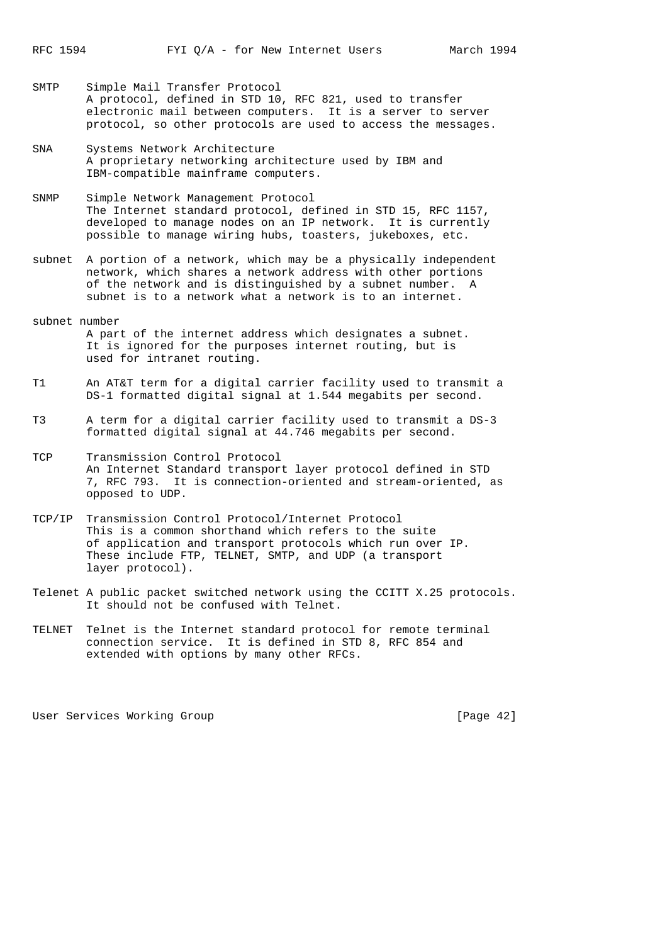- SMTP Simple Mail Transfer Protocol A protocol, defined in STD 10, RFC 821, used to transfer electronic mail between computers. It is a server to server protocol, so other protocols are used to access the messages.
- SNA Systems Network Architecture A proprietary networking architecture used by IBM and IBM-compatible mainframe computers.
- SNMP Simple Network Management Protocol The Internet standard protocol, defined in STD 15, RFC 1157, developed to manage nodes on an IP network. It is currently possible to manage wiring hubs, toasters, jukeboxes, etc.
- subnet A portion of a network, which may be a physically independent network, which shares a network address with other portions of the network and is distinguished by a subnet number. A subnet is to a network what a network is to an internet.
- subnet number A part of the internet address which designates a subnet. It is ignored for the purposes internet routing, but is used for intranet routing.
- T1 An AT&T term for a digital carrier facility used to transmit a DS-1 formatted digital signal at 1.544 megabits per second.
- T3 A term for a digital carrier facility used to transmit a DS-3 formatted digital signal at 44.746 megabits per second.
- TCP Transmission Control Protocol An Internet Standard transport layer protocol defined in STD 7, RFC 793. It is connection-oriented and stream-oriented, as opposed to UDP.
- TCP/IP Transmission Control Protocol/Internet Protocol This is a common shorthand which refers to the suite of application and transport protocols which run over IP. These include FTP, TELNET, SMTP, and UDP (a transport layer protocol).
- Telenet A public packet switched network using the CCITT X.25 protocols. It should not be confused with Telnet.
- TELNET Telnet is the Internet standard protocol for remote terminal connection service. It is defined in STD 8, RFC 854 and extended with options by many other RFCs.

User Services Working Group **[Page 42]**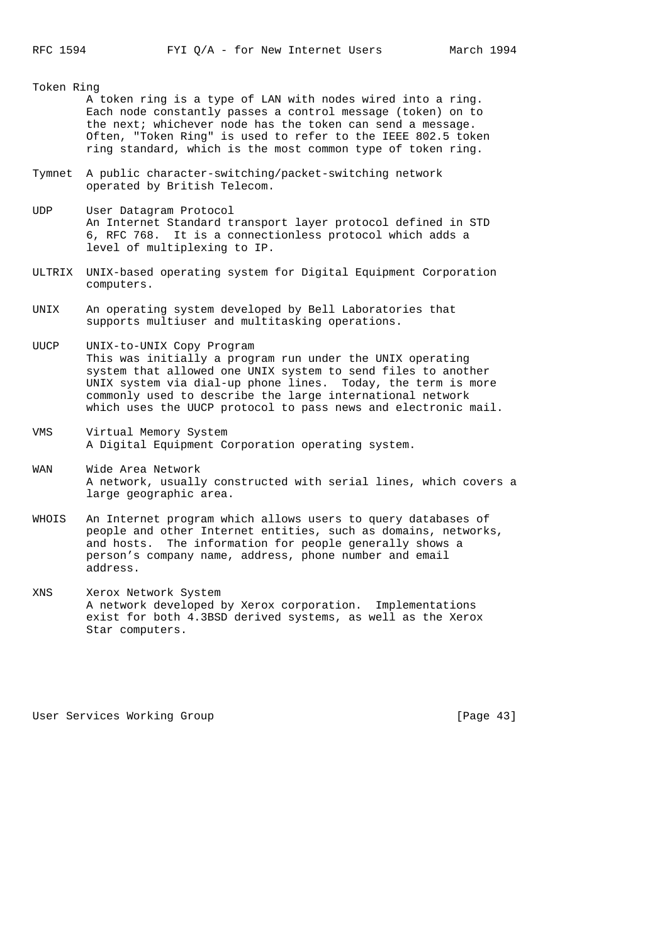#### Token Ring

- A token ring is a type of LAN with nodes wired into a ring. Each node constantly passes a control message (token) on to the next; whichever node has the token can send a message. Often, "Token Ring" is used to refer to the IEEE 802.5 token ring standard, which is the most common type of token ring.
- Tymnet A public character-switching/packet-switching network operated by British Telecom.
- UDP User Datagram Protocol An Internet Standard transport layer protocol defined in STD 6, RFC 768. It is a connectionless protocol which adds a level of multiplexing to IP.
- ULTRIX UNIX-based operating system for Digital Equipment Corporation computers.
- UNIX An operating system developed by Bell Laboratories that supports multiuser and multitasking operations.
- UUCP UNIX-to-UNIX Copy Program This was initially a program run under the UNIX operating system that allowed one UNIX system to send files to another UNIX system via dial-up phone lines. Today, the term is more commonly used to describe the large international network which uses the UUCP protocol to pass news and electronic mail.
- VMS Virtual Memory System A Digital Equipment Corporation operating system.
- WAN Wide Area Network A network, usually constructed with serial lines, which covers a large geographic area.
- WHOIS An Internet program which allows users to query databases of people and other Internet entities, such as domains, networks, and hosts. The information for people generally shows a person's company name, address, phone number and email address.
- XNS Xerox Network System A network developed by Xerox corporation. Implementations exist for both 4.3BSD derived systems, as well as the Xerox Star computers.

User Services Working Group **[Page 43]**